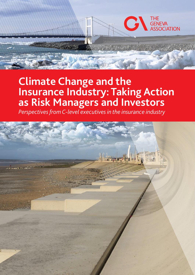# **Climate Change and the Insurance Industry: Taking Action as Risk Managers and Investors**

THE<br>GENEVA<br>ASSOCIATION

*Perspectives from C-level executives in the insurance industry* 

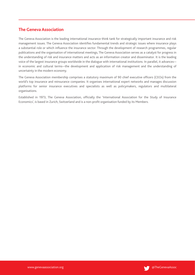# **The Geneva Association**

The Geneva Association is the leading international insurance think tank for strategically important insurance and risk management issues. The Geneva Association identifies fundamental trends and strategic issues where insurance plays a substantial role or which influence the insurance sector. Through the development of research programmes, regular publications and the organisation of international meetings, The Geneva Association serves as a catalyst for progress in the understanding of risk and insurance matters and acts as an information creator and disseminator. It is the leading voice of the largest insurance groups worldwide in the dialogue with international institutions. In parallel, it advances in economic and cultural terms—the development and application of risk management and the understanding of uncertainty in the modern economy.

The Geneva Association membership comprises a statutory maximum of 90 chief executive officers (CEOs) from the world's top insurance and reinsurance companies. It organises international expert networks and manages discussion platforms for senior insurance executives and specialists as well as policymakers, regulators and multilateral organisations.

Established in 1973, The Geneva Association, officially the 'International Association for the Study of Insurance Economics', is based in Zurich, Switzerland and is a non-profit organisation funded by its Members.

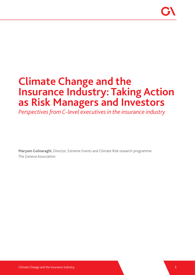# **Climate Change and the Insurance Industry: Taking Action as Risk Managers and Investors**

*Perspectives from C-level executives in the insurance industry* 

**Maryam Golnaraghi**, Director, Extreme Events and Climate Risk research programme The Geneva Association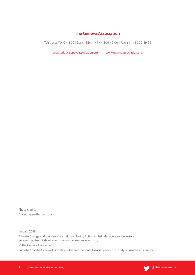# **The Geneva Association**

Talstrasse 70, CH-8001 Zurich | Tel: +41 44 200 49 00 | Fax: +41 44 200 49 99

secretariat@genevaassociation.org www.genevaassociation.org

Photo credits: Cover page—Shutterstock

January 2018

Climate Change and the Insurance Industry: Taking Action as Risk Managers and Investors Perspectives from C-level executives in the insurance industry

© The Geneva Association

Published by The Geneva Association—The International Association for the Study of Insurance Economics.

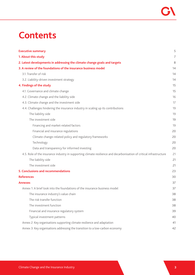# **Contents**

| <b>Executive summary</b>                                                                                            | 5  |
|---------------------------------------------------------------------------------------------------------------------|----|
| 1. About this study                                                                                                 | 7  |
| 2. Latest developments in addressing the climate change goals and targets                                           | 8  |
| 3. A review of the foundations of the insurance business model                                                      | 14 |
| 3.1. Transfer of risk                                                                                               | 14 |
| 3.2. Liability-driven investment strategy                                                                           | 14 |
| 4. Findings of the study                                                                                            | 15 |
| 4.1. Governance and climate change                                                                                  | 15 |
| 4.2. Climate change and the liability side                                                                          | 16 |
| 4.3. Climate change and the investment side                                                                         | 17 |
| 4.4. Challenges hindering the insurance industry in scaling up its contributions                                    | 19 |
| The liability side                                                                                                  | 19 |
| The investment side                                                                                                 | 19 |
| Financing and market-related factors                                                                                | 19 |
| Financial and insurance regulations                                                                                 | 20 |
| Climate change-related policy and regulatory frameworks                                                             | 20 |
| Technology                                                                                                          | 20 |
| Data and transparency for informed investing                                                                        | 20 |
| 4.5. Role of the insurance industry in supporting climate resilience and decarbonisation of critical infrastructure | 21 |
| The liability side                                                                                                  | 21 |
| The investment side                                                                                                 | 21 |
| 5. Conclusions and recommendations                                                                                  | 23 |
| <b>References</b>                                                                                                   | 30 |
| <b>Annexes</b>                                                                                                      | 37 |
| Annex 1: A brief look into the foundations of the insurance business model                                          | 37 |
| The insurance industry's value chain                                                                                | 38 |
| The risk transfer function                                                                                          | 38 |
| The investment function                                                                                             | 38 |
| Financial and insurance regulatory system                                                                           | 39 |
| Typical investment patterns                                                                                         | 40 |
| Annex 2: Key organisations supporting climate resilience and adaptation                                             | 41 |
| Annex 3: Key organisations addressing the transition to a low-carbon economy                                        | 42 |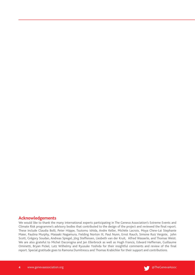# **Acknowledgements**

We would like to thank the many international experts participating in The Geneva Association's Extreme Events and Climate Risk programme's advisory bodies that contributed to the design of the project and reviewed the final report. These include Claudia Bolli, Peter Höppe, Tsutomu Ishida, Andre Keller, Michèle Lacroix, Moya Chew-Lai Stephanie Maier, Paulina Murphy, Masaaki Nagamura, Fielding Norton III, Paul Nunn, Ernst Rauch, Simone Ruiz Vergote, John Scott, Grégory Soudan, Andreas Spiegel, Jörg Steffensen, Liesbeth van der Kruit, Alfred Wasserle, and Thomas Weist. We are also grateful to Michel Dacorogna and Jan Ellerbrock as well as Hugh Francis, Edward Heffernan, Guillaume Ominetti, Bryan Pickel, Lutz Wilhelmy and Ryusuke Yoshida for their insightful comments and review of the final report. Special gratitude goes to Ramona Dumitrescu and Thomas Krabichler for their support and contributions.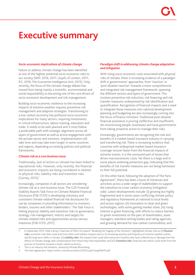# **Executive summary**

### *Socio-economic implications of climate change*

Failure to address climate change has been identified as one of the highest potential socio-economic risks to our society (WEF, 2016, 2017; Lloyd's of London, 2017; IFC, 2016; The Economist Intelligence Unit, 2015). Only recently, the focus of the climate change debate has moved from being mainly a scientific, environmental and social responsibility to becoming one of the core drivers of socio-economic development and risk management.

Building socio-economic resilience to the increasing impacts of extreme weather requires preventive risk management and adaptive strategies. Transitioning to a low-carbon economy has profound socio-economic implications for many sectors, requiring investments in critical infrastructure, labour training, education and trade. It needs to be well-planned and it must follow a predictable path with strategic alignment across all layers of government as well as active engagement with the private sector and investors. Implementation will take time and may take even longer in some countries and regions, depending on existing policies and political frameworks.

# *Climate risk as a core business issue*

Traditionally, lack of action on climate has been linked to reputational risks. However, only recently, the financial and economic impacts are being considered in relation to physical risks, liability risks and transition risks (Carney, 2015).1

Increasingly, companies in all sectors are considering climate risk as a core business issue. The G20 Financial Stability Board's Task Force on Climate-Related Financial Disclosure (FSB-TCFD) is developing voluntary and consistent climate-related financial risk disclosures for use by companies in providing information to investors, lenders, insurers and other stakeholders.<sup>2</sup> The Task Force is linking physical, liability and transition risks to governance, strategy, risk management, metrics and targets for climate-related risks and opportunities across various industries (FSB-TCFD, 2017).

# *Paradigm shift in addressing climate change adaptation and mitigation*

With rising socio-economic costs associated with physical risks of climate, there is increasing evidence of a paradigm shift in governments' approaches, from 'inaction' or 'post-disaster reaction' towards a more comprehensive and integrated risk management framework, spanning the different sectors and layers of government. This involves preventive risk reduction, risk financing and risk transfer measures underpinned by risk identification and quantification. Recognition of financial impacts and a need to integrate these measures into national development planning and budgeting are also increasingly coming into the focus of finance ministers. Traditional post-disaster financial assistance is proving ineffective and insufficient, dis-incentivising people, businesses and local governments from taking proactive action to manage their risks.

Increasingly, governments are recognising the role and benefits of a market-based insurance industry in carrying and transferring risk. There is increasing evidence that countries with widespread market-based insurance coverage recover faster from the financial impacts of extreme events; it is the uninsured part of losses that drives macroeconomic costs. Yet there is a large and in some places widening protection gap, indicating that the benefits of risk transfer measures are not being harnessed to their full potential.

On the other hand, following the adoption of The Paris Agreement<sup>3</sup>, there has been a burst of initiatives and activities across a wide range of stakeholders to support the transition to a low-carbon economy (mitigation side). Latest developments include: (i) growing but highly fragmented and in some cases conflicting climate policy and regulatory frameworks at national to local levels and across regions; (ii) innovation in clean and green technologies, with some gaining market share; (iii) rising interest in green financing, with efforts to reduce barriers to green investment on the part of shareholders, asset managers, standard-setting bodies and rating agencies, and growing demand for low-carbon commodities; and

<sup>1</sup> In September 2015, Mark Carney, Chairman of FSB in his speech "Breaking the Tragedy of the Horizons", highlighted climate risks as (i) *Physical*  risks: economic risks that could arise from direct and indirect impacts due to: (i) increasing severity and frequency of extreme weather events; and (ii) long-term shifts in climate; (ii) *Liability risks:* the impacts that could arise tomorrow if parties who have suffered loss or damage from the effects of climate change seek compensation from those they hold responsible; and (iii) *Transition risks:* financial risks which could result from the process of transition towards a lower-carbon economy.

This is an industry-led initiative, chaired by Michael Bloomberg.

<sup>3</sup> The Paris Agreement: https://unfccc.int/resource/docs/2015/cop21/eng/l09r01.pdf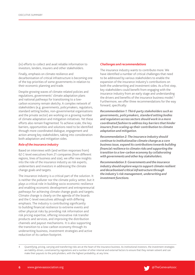(iv) efforts to collect and avail reliable information to investors, lenders, insurers and other stakeholders.

Finally, emphasis on climate resilience and decarbonisation of critical infrastructure is becoming one of the top priorities of some governments in relation to their economic planning and trade.

Despite growing waves of climate-related policies and regulations, governments' climate adaptation plans and national pathways for transitioning to a lowcarbon economy remain sketchy. A complex network of stakeholders (e.g. governments, policymakers, regulators, standard setting bodies, non-governmental organisations and the private sector) are working on a growing number of climate adaptation and mitigation initiatives. Yet these efforts also remain fragmented. To achieve scale, the key barriers, opportunities and solutions need to be identified through more coordinated dialogue, engagement and action among key stakeholders, taking into consideration both adaptation and mitigation sides.

# *Role of the insurance industry*

Based on interviews with (and written responses from) 62 C-level executives from 21 companies (from different regions, lines of business and size), we offer new insights into the role of the insurance industry as risk experts, underwriters and investors in addressing the climate change goals and targets.

The insurance industry is a critical part of the solution. It is neither the polluter nor the climate policy setter, but it plays a critical role in building socio-economic resilience and enabling economic development and entrepreneurial pathways for achieving climate change goals and targets. Climate change is clearly on the agenda of the boards and the C-level executives although with differing emphasis. The industry is contributing significantly to building financial resilience to extreme events and other physical risks by providing risk information and risk pricing expertise, offering innovative risk transfer products and services, and improving the distribution channels and payout mechanisms. It is also supporting the transition to a low-carbon economy through its underwriting business, investment strategies and active reduction of its carbon footprint.

# *Challenges and recommendations*

The insurance industry wants to contribute more. We have identified a number of critical challenges that need to be addressed by various stakeholders to enable the expansion of the insurance industry's contributions on both the underwriting and investment sides. As a first step, key stakeholders could benefit from engaging with the insurance industry from an early stage and understanding the drivers and benefits of the insurance business model.<sup>4</sup> Furthermore, we offer three recommendations for the way forward, specifically:

*Recommendation 1: Third-party stakeholders such as governments, policymakers, standard setting bodies and regulators across sectors should work in a more coordinated fashion to address key barriers that hinder insurers from scaling up their contribution to climate adaptation and mitigation.* 

*Recommendation 2: The insurance industry should continue to institutionalise climate change as a core business issue, expand its contributions towards building financial resilience to climate risks and supporting the transition to a low-carbon economy by collaborating with governments and other key stakeholders.* 

*Recommendation 3:Governments and the insurance industry should explore ways to support climate resilient and decarbonised critical infrastructure through the industry's risk management, underwriting and investment functions.* 



<sup>4</sup> Quantifying, pricing, carrying and transferring risks are at the heart of the insurance business. As institutional investors, the investment strategies are liability-driven, constrained by regulations and a number of other internal and external factors to ensure that they remain solvent and can make their payouts to the policyholders, with the highest probability, at any time.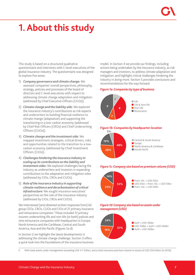# **1. About this study**

This study is based on a structured qualitative questionnaire and interviews with C-level executives of the global insurance industry. The questionnaire was designed to explore five areas:

- 1) *Company governance and climate change:* We assessed companies' overall perspectives, philosophy, strategy, policies and processes of the board of directors and C-level executives with respect to addressing climate change adaptation and mitigation (addressed by Chief Executive Officers (CEOs)).
- 2) *Climate change and the liability side:* We explored the insurance industry's contributions as risk experts and underwriters to building financial resilience to climate change (adaptation) and supporting the transitioning to a low-carbon economy (addressed by Chief Risk Officers (CROs) and Chief Underwriting Officers (CUOs)).
- 3) *Climate change and the investment side:* We mapped investment strategies, critical drivers, risks and opportunities related to the transition to a lowcarbon economy (addressed by Chief Investment Officers (CIOs)).
- 4) *Challenges hindering the insurance industry in scaling up its contributions on the liability and investment sides:* We explored challenges facing the industry as underwriters and investors in expanding contributions to the adaptation and mitigation sides (addressed by CIOs, CROs and CUOs).
- 5) *Role of the insurance industry in supporting climate resilience and decarbonisation of critical infrastructure:* We sought insurance executives' perspectives on the role of the insurance industry (addressed by CIOs, CROs and CUOs).

We interviewed (and obtained written responses from) 62 group CEOs, CROs, CUOs and CIOs of 21 primary insurance and reinsurance companies.<sup>5</sup> These included 12 primary insurers underwriting life and non-life (or both) policies and nine reinsurance companies with headquarters in Europe, North America and the Caribbean, Central and South America, Asia and the Pacific (Figures 1a-d).

In Section 2 we highlight the latest developments in addressing the climate change challenge. Section 3 offers a quick look into the foundations of the insurance business

model. In Section 4 we provide our findings, including actions being undertaken by the insurance industry, as risk managers and investors, to address climate adaptation and mitigation, and highlight critical challenges hindering the industry in doing more. Section 5 provides conclusions and recommendations for the way forward.

# *Figure 1a: Companies by type of business*



#### *Figure 1b: Companies by headquarter location* **5%**



# *Figure 1c: Company size based on premium volume (USD)*



# *Figure 1d: Company size based on assets under management (USD)*



5 With total assets under management exceeding USD 4.7 trillion, and a total insurance premium volume in excess of USD 550 billion (in 2016).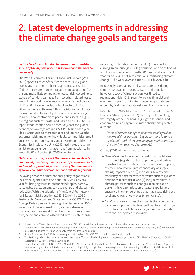# **2. Latest developments in addressing the climate change goals and targets**

# *Failure to address climate change has been identified as one of the highest potential socio-economic risks to our society.*

The World Economic Forum's Global Risk Report (WEF 2016) specifies three of the five top most likely global risks related to climate change. Specifically, it ranks "failure of climate change mitigation and adaptation" as the one most likely to impact on global risk. According to Lloyd's of London, damages from weather-related losses around the world have increased from an annual average of USD 50 billion in the 1980s to close to USD 200 billion in the past 10 years.<sup>6</sup> This is attributed to climate change and development patterns, which are leading to a rise in concentration of people and assets in highrisk regions such as coastal and urban areas.7 IFC (2016) reports that inaction could potentially cost the global economy on average around USD 150 billion each year. This is attributed to more frequent and intense weather extremes, with impact on individuals, communities, small businesses, large companies and governments alike. The Economist Intelligence Unit (2015) estimates the value at risk to assets under management from inaction to be around USD 4.2 trillion (in 2015 value terms).

# *Only recently, the focus of the climate change debate has moved from being mainly a scientific, environmental and social responsibility issue to one of the core drivers of socio-economic development and risk management.*

Following decades of international policy negotiations facilitated by the United Nations, 2015 was a pivotal year for bridging three interconnected topics, namely, sustainable development, climate change and disaster risk reduction. With the adoption of the Sendai Framework for Disaster Risk Reduction (2015-2030),<sup>8</sup> the 2030 Sustainable Development Goals<sup>9</sup> and the COP21 Climate Change Paris Agreement, among other issues, over 190 governments have agreed on: (i) a comprehensive risk management framework to address the socio-economic risks, acute and chronic, associated with climate change

(adapting to climate change);10 and (ii) priorities for curbing greenhouse gas (GHG) emissions and transitioning to a low-carbon economy, with 2050 as the global target year for achieving net zero emissions (mitigating climate change) (The Geneva Association 2016a-b, 2017a-b).

Increasingly, companies in all sectors are considering climate risk as a core business issue. Traditionally, however, a lack of climate action was linked to reputational risks. Only recently are the financial and economic impacts of climate change being considered under physical risks, liability risks and transition risks.

In September 2015, Mark Carney, Chairman of the G20's Financial Stability Board (FSB), in his speech 'Breaking the Tragedy of the Horizons', highlighted financial and economic risks arising from climate change and pointed out that,

*"Risks of climate change to financial stability will be minimised if the transition begins early and follows a predictable path, thereby helping the market anticipate the transition to a two degree world."* 

Carney (2015) defines climate risks as:

- *− Physical risks* include economic risks that could arise from direct (e.g. destruction of property and critical infrastructure) and indirect (e.g. business interruption, affected labour force, interconnectivity of supply chains) impacts due to: (i) increasing severity and frequency of extreme weather events such as cyclones and floods (acute risks); and (ii) long-term shifts in climate patterns such as changes in precipitation patterns linked to reduction of water supplies and sustained high temperatures that may cause rising sealevel and chronic heatwaves (chronic risks).
- *− Liability risks* encompass the impacts that could arise tomorrow if parties who have suffered loss or damage from the effects of climate change seek compensation from those they hold responsible.

8 Sendai Framework for DRR: http://www.preventionweb.net/files/43291\_sendaiframeworkfordrren.pdf

<sup>6</sup> Source: https://www.theguardian.com/business/2014/may/08/lloyds-insurer-account-climate-change-extreme-weather-losses

<sup>7</sup> Economic costs are attributed to direct impacts on assets (e.g. homes and buildings, critical infrastructure, manufacturing sites, etc.) and indirect losses (e.g. business interruption, supply chain and trade disruptions).

<sup>9</sup> The 2030 Agenda for Sustainable Development: https://sustainabledevelopment.un.org/content/documents/21252030%20Agenda%20for%20 Sustainable%20Development%20web.pdf

<sup>10</sup> During the period from 1980 to 2015, Munich Re's NatCatSERVICE identified 15,700 disaster loss events (Munich Re, 2016). Of those, 91 per cent were caused by weather-related extremes (meteorological, hydrological and climatological events), accounting for 51 per cent of the total of 1.7 million lives lost, 79 per cent of the USD 4 trillion in total economic losses and 90 per cent of insured losses (inflation adjusted).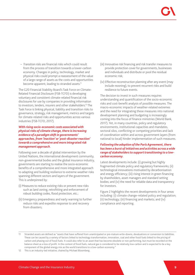*− Transition risks* are financial risks which could result from the process of transition towards a lower-carbon economy. Changes in policy, technology, market and physical risks could prompt a reassessment of the value of a large range of assets as the costs and opportunities become apparent, leading to stranded assets.<sup>11</sup>

The G20 Financial Stability Board's Task Force on Climate-Related Financial Disclosure (FSB-TCFD) is developing voluntary and consistent climate-related financial risk disclosures for use by companies in providing information to investors, lenders, insurers and other stakeholders.<sup>12</sup> The Task Force is linking physical, liability and transition risks to governance, strategy, risk management, metrics and targets for climate-related risks and opportunities across various industries (FSB-TCFD, 2017).

# *With rising socio-economic costs associated with physical risks of climate change, there is increasing evidence of a paradigm shift in governments' approaches, from 'inaction' or 'post-disaster reaction' towards a comprehensive and more integrated risk management approach.*

Following over a decade of global intervention by the United Nations, the international development community, non-governmental bodies and the global insurance industry, governments are starting to realise the socio-economic benefits of a comprehensive and more integrated approach to adapting and building resilience to extreme weather risks spanning different sectors and layers of the government. This is underpinned by:

- (i) Measures to reduce existing risks or prevent new risks such as land zoning, retrofitting and enforcement of robust building codes, flood protection, etc.;
- (ii) Emergency preparedness and early warning to further reduce risks and expedite response to and recovery from disasters;
- (iii) Innovative risk financing and risk transfer measures to provide protection cover for governments, businesses and individuals and distribute or pool the residual economic risk;
- (iv) Effective reconstruction planning after any event (may include rezoning), to prevent recurrent risks and build resilience to future events.

The decision to invest in such measures requires understanding and quantification of the socio-economic risks and cost-benefit analysis of possible measures. The macro-economic impacts of weather-related extremes and the need for integrating these measures into national development planning and budgeting is increasingly coming into the focus of finance ministries (World Bank, 2017). Yet, in many countries, policy and regulatory environments, institutional capacities and mandates, sectoral silos, conflicting or competing priorities and lack of coordination within and across government layers (from national to local) hinder implementation of such measures.

# *Following the adoption of the Paris Agreement, there has been a burst of initiatives and activities across a wide range of stakeholders to support transitioning to a lowcarbon economy.*

Latest developments include: (i) growing but highly fragmented climate policy and regulatory frameworks; (ii) technological innovations motivated by decarbonisation and energy efficiency; (iii) rising interest in green financing by shareholders, asset managers and standard setting bodies; and (iv) the need for reliable data and transparency for investors.

Figure 2 highlights the recent developments in four areas including: (i) climate change–related policy and regulation; (ii) technology; (iii) financing and markets; and (iv) compliance and reporting.

<sup>11</sup> Stranded assets are defined as "assets that have suffered from unanticipated or pre-mature write-downs, devaluations or conversion to liabilities. These can be caused by a variety of factors linked to technology transformation, innovation, coal and other fossil fuels linked to the pricing of carbon and phasing out of fossil fuels. It could also refer to an asset that has become obsolete or non-performing, but must be recorded on the balance sheet as a loss of profit. In the context of fossil fuels, natural gas is considered to be relatively low-carbon and is expected to be a key component of the global energy mix as the world transitions to a low-carbon economy."

<sup>12</sup> This is an industry-led initiative, chaired by Michael Bloomberg.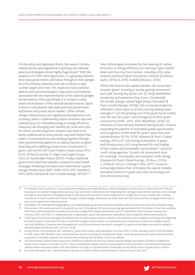On the policy and regulatory fronts, the wave of climaterelated policies and regulations is growing, but national plans and strategies remain highly fragmented.13 With the adoption of COP21 Paris Agreement, it is generally believed that many governments will follow through on their pledges for GHG emission reduction and will continue to step up their targets over time. Yet, respective (sub-)national policies and sectoral strategies, trajectories and timelines associated with the implementation of the national pledges remain sketchy. More specifically, it is unclear to what extent development of the national decarbonisation 'plans' is done in consultation with state and local government authorities and private sector leaders. Other climate change–related policy and regulatory developments such as taxing carbon, implementing carbon emission caps and subsidies (e.g. for renewable energy or energy efficiency measures) are emerging with benefits for some and costs for others, yet the long-term impacts may need to be better understood as some policies may work better than others. Governments are also working together through inter-governmental platforms to address barriers to green financing and mobilising private sector investments in green, such as the G20 Green Finance Study Group GFSG (G20, 2016a-b) and the EC High-Level Expert Group HLEG on Sustainable Finance (2017). Finally, traditional government fossil fuel subsidies continue to send mixed messages, hindering innovation and investments in green energy infrastructure (WEF, 2009, 2010, 2011; BlackRock, 2015, 2016; Standard & Poor's Global Ratings, 2017b).<sup>14,15</sup>

New technologies motivated by the lowering of carbon emissions or energy efficiency are starting to gain market share with four key front runners, including LEDs, solar, onshore wind and hybrid and electric vehicles (Goldman Sachs, 2015a-b, 2016; Arabella Advisors, 2016).

Within the finance and capital markets, the movement towards 'green' investing is slowly gaining momentum and scale. Among key factors are: (i) rising shareholder receptivity and awareness (e.g. Exxon, Occidental); (ii) climate change–related legal threats (Standard & Poor's Global Ratings, 2016a); (iii) increasing receptivity reflected in three types of actions among leading asset managers<sup>16</sup>; (iv) the growing size of the green bond market over the last two years<sup>17</sup> and emergence of other green instruments (HSBC, 2015, 2016; BlackRock, 2016); (v) initiatives of international standard setting bodies towards expanding the pipeline of investable-grade opportunities and recognition of the need for 'green' asset class and standardisation (ICMA, 2016; Standard & Poor's Global Ratings, 2017a-c)<sup>18</sup>; (vi) linking investments in green and infrastructure; (vii) rising demand for and trading of low-carbon and sustainable commodities<sup>19</sup>; and (viii) credit rating agencies' climate risk assessment tools for sovereign, municipality and company credit ratings (Standard & Poor's Global Ratings, 2014a-e, 2015ac, 2016a-b, 2017a-c; Moody's 2016, 2017). Investors increasingly believe that ultimately the capital markets and advancements in green and clean technology will drive the transitioning.

13 For example, the EU and the U.S. are putting more emphasis on energy efficiency, while emerging economies such as China, Brazil and India are focusing on low-carbon energy production (e.g. solar and wind). Some nations are integrating their strategy as part of their national multi-pronged strategy for reducing GHG including building on efficiency and innovation in both energy and non-energy sectors (e.g. Canada's Pan Canadian Framework for Clean Growth and Climate Change). Climate change–related policies at the state and local levels are also emerging, which may or may not be aligned with national policies.

14 According to the International Energy Agency, on average globally, government fossil fuel subsidies continue at four times those for renewable energy. 15 For example, G20 nations account for nearly 85 per cent of the global GDP and are spending approximately USD 452 billion in fossil fuel subsidies, effectively undermining their own policies on climate change (Oil Change International and U.K.–based think tank Overseas Development Institute, 2015), with the U.S. leading the pack in exploration, capital and operational expenditure, even during the Obama administration.

16 Three types of trends are emerging: (i) establishment of various green investor coalitions; (ii) prominent asset managers promoting and integrating principles of green investment into their investment strategies and processes, as shareholders push companies to assess and manage climate risks (e.g. BlackRock, Deutsche Asset Management); and (iii) institutional investment strategies to support technological innovations related to decarbonisation (Goldman Sachs, 2015a-b, 2016).

17 During China's G20 presidency, the "labelled as" green bond market nearly doubled in size from 2015 to 2016, reaching a total of USD 80 billion. In 2016, nearly USD 60 billion were issued by known sources, including the development banks, municipal governments, asset-backed securities, corporations and banks; however the source of the remaining USD 20 billion is still to be defined.

18 The International Capital Market Association (ICMA) has joined forces with the Global Financial Markets Association (GFMA) to establish the Global Green Finance Committee (GGFC). This is a coordinated industry effort to promote green finance, facilitate cross-fertilisation between related markets and asset classes, with the ambition of acting as a representative counterparty to the official sector on green policy matters.

19 For more information see, 'Green Revolution Spreads to Metals' Markets and Investments, Financial Times, 6 Dec 2017.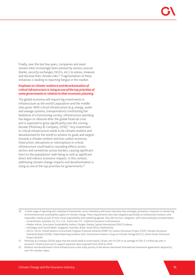Finally, over the last few years, companies and asset owners have increasingly been pressed by various sources (banks, security exchanges, NGOs, etc.) to assess, measure and disclose their climate risks.<sup>20</sup> Fragmentation of these initiatives is leading to reporting fatigue in the market.

# *Emphasis on climate resilience and decarbonisation of critical infrastructure is rising as one of the top priorities of some governments in relation to their economic planning.*

The global economy will require big investments in infrastructure as the world's population and the middle class grow. With critical infrastructure (e.g. energy, water and sewage systems, transportation) constituting the backbone of a functioning society, infrastructure spending has begun to rebound after the global financial crisis and is expected to grow significantly over the coming decade (McKinsey & Company, 2016).<sup>21</sup> Any investment in critical infrastructure needs to be climate resilient and decarbonised for the world to achieve its goals and targets towards a climate resilient and low-carbon economy. Destruction, disruptions or interruptions in critical infrastructure could lead to cascading effects across sectors and sometimes across borders, causing significant harm to the populations' well-being as well as significant direct and indirect economic impacts. In this context, addressing climate change impacts and decarbonisation is rising as one of the top priorities for governments.<sup>22</sup>

<sup>20</sup> A wide range of reporting and compliance frameworks, some mandatory and some voluntary have emerged, primarily in response to monitoring environmental and sustainability aspects of climate change. These requirements have been targeted specifically at institutional investors, who responded, mainly as part of their social responsibility and marketing agenda. They fall into four categories, with some examples provided below: − Governments: Australia, EU, U.S., U.K., France law 173 , California Insurance Commissioner;

<sup>−</sup> Market indices: Dow Jones Sustainability Indices, Morgan Stanley Capital International (MSCI) indexes;

<sup>−</sup> Exchanges and Central Banks: Singapore, Australia, Brazil, South Africa, Netherlands;

<sup>−</sup> NGOs: OECD, United Nations Environment Program Financial Initiative (UNEP FI), Carbon Disclosure Project (CDP), Climate Disclosure Standards Board (CDSB), Global Reporting Initiative (GRI, Institutional Investor Group on Climate Change (IIGCC), Asset Owner Disclosure Project (AODP).

<sup>21</sup> McKinsey & Company (2016) argue that the world needs to invest about 3.8 per cent of GDP or an average of USD 3.3 trillion per year in economic infrastructure just to support expected rates of growth from 2016 to 2030.

<sup>22</sup> Resilient and decarbonised critical infrastructure is also a key priority in the above-mentioned international framework agreements adopted by over 191 member states.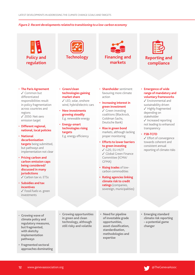# *Figure 2: Recent developments related to transitioning to a low-carbon economy*









# **Reporting and compliance**

- **The Paris Agreement** ✔ Common but differentiated responsibilities result in policy fragmentation across countries and regions √ 2050: Net-zero emission target
- **Different regional, national, local policies**
- **National decarbonisation targets** being submitted, but pathways and implementation not clear
- **Pricing carbon and carbon emission caps being considered/ discussed in many jurisdictions**
	- $\checkmark$  Carbon tax vs. ETSs
- **Subsidies and tax incentives** ✔ Fossil fuels vs. green investments

• **Green/clean technologies gaining market share**  $\checkmark$  LED, solar, onshore

wind, hybrid/electric cars

- **New investments growing steadily**  E.g. renewable energy
- **Energy-smart technologies rising targets**

E.g. energy efficiency

- **Shareholder** sentiment favouring more climate action
- **• Increasing interest in green investment**  $\checkmark$  Green investing coalitions (Blackrock, Goldman Sachs, Deutsche Bank)
- **• Rise in green bond**  markets, although lacking proper monitoring
- **• Efforts to lower barriers to green investing** 3 G20, EU-HLTF 3 Global Green Finance Committee (ICMA/ GFMA)
- **• Rising trades** of lowcarbon commodities
- **• Rating agencies linking climate risk to credit ratings** (companies, sovereign, municipalities)

• **Emergence of wide range of mandatory and voluntary frameworks**

 $\checkmark$  Environmental and sustainability driven  $\checkmark$  Highly fragmented depending on stakeholder  $\checkmark$  Increased reporting not leading to enhanced transparency

### • **FSB-TCFD**

 $\checkmark$  Effort of convergence towards coherent and consistent annual reporting of climate risks

- **Growing wave of climate policy and regulatory measures, but fragmented, with sketchy implementation pathways**
- **• Fragmented sectoral approaches dominating**
- **Growing opportunities in green and clean technology, although still risky and volatile**
- **• Need for pipeline of investable grade opportunities, asset classification, standardisation, methodologies and expertise**
- **• Emerging standard climate risk reporting – a potential game changer**

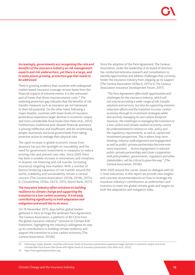# *Increasingly, governments are recognising the role and benefits of the insurance industry as risk management experts and risk underwriters, yet there is a large, and in some places growing, protection gap that needs to be addressed.*

There is growing evidence that countries with widespread market-based insurance coverage recover faster from the financial impacts of extreme events; it is the uninsured part of losses that drives macroeconomic costs.<sup>23</sup> The widening protection gap indicates that the benefits of risk transfer measures such as insurance are not harnessed to their full potential. On the other hand, following a major disaster, countries with lower levels of insurance penetration experience larger declines in economic output and more considerable fiscal losses (Von Peter *et al*., 2012). Furthermore, traditional post-disaster financial assistance is proving ineffective and insufficient, and dis-incentivising people, businesses and local governments from taking proactive action to manage their physical risks.

The rapid increase in global economic losses from disasters has put the spotlight on insurability and the need for government investments in measures to reduce existing risks and prevent new risks. Since 2005 there has been a notable increase in innovations and initiatives in disaster risk financing and risk transfer (including insurance) targeting new markets. With a number of factors hindering expansion of risk transfer around the world, scalability and sustainability remain a central concern (The Geneva Association, 2014a, 2016b, 2017ab; ClimateWise, 2016a; OECD, 2015; World Bank, 2017).

# *The insurance industry offers solutions to building resilience to climate change and supporting the transition to a low-carbon economy. It is already contributing significantly to both adaptation and mitigation and would like to do more.*

On 19 November 2015, days before global leaders gathered in Paris to forge the landmark Paris Agreement, The Geneva Association, a platform of 80 CEOs from the global insurance industry $24$  reissued its Climate Risk Statement, highlighting the industry's willingness to step up its contributions to building climate resilience and support the transition to a low-carbon economy (The Geneva Association, 2014b).

Since the adoption of the Paris Agreement, The Geneva Association, under the leadership of its board of directors has conducted extensive research and consultations to identify opportunities and address challenges that currently hinder the insurance industry from stepping up its support (The Geneva Association 2016a-b, 2017a-b; The Geneva Association-Insurance Development Forum, 2017).

*"The Paris Agreement offers both opportunities and challenges for the insurance industry, which will not only be providing a wider range of risk-transfer solutions and services, but also be supporting emission reduction efforts and the transition to a low-carbon economy through its investment strategies while also actively managing its own carbon footprint. However, the challenges in managing the transition to a low-carbon and climate resilient economy cannot be underestimated in relation to risks, policy and the regulatory requirements, as well as capital and investment perspectives. This is where long-term thinking, industry-wide alignment and engagement as well as public–private partnerships become even more important…. Active engagement in relevant public–private partnerships and closer cooperation with policymakers, governments, regulators and other stakeholders, will be critical to pave the way." (The Geneva Association, 2016b)*

With 2020 around the corner, based on dialogue with 62 C-level executives, in this report we provide new insights and concrete recommendations on how to leverage the insurance industry's contributions as underwriters and investors to meet the global climate goals and targets on both the adaptation and mitigation sides.

<sup>23</sup> Following a major disaster, countries with lower levels of insurance penetration experience larger declines in economic output and more considerable fiscal losses than those with higher levels of insurance penetration (Von Peter *et al*., 2012).

<sup>24</sup> http://www.genevaassociation.org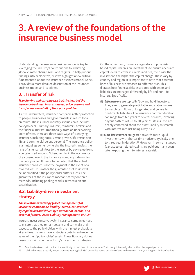# **3. A review of the foundations of the insurance business model**

Understanding the insurance business model is key to leveraging the industry's contributions to achieving global climate change goals and targets. To help put our findings into perspective, first we highlight a few critical fundamentals about the insurance business model. Annex 1 provides a more detailed description of the insurance business model and its drivers.

# **3.1. Transfer of risk**

# *Transferring and carrying risk is at the heart of the insurance business. Insurers assess, price, assume and transfer risk on behalf of their policyholders.*

As risk underwriters, insurance companies offer protection to people, businesses and governments in return for a premium. The insurance industry's value chain includes: policyholders, (primary) insurers, reinsurers, brokers and the financial market. Traditionally, from an underwriting point of view, there are three basic ways of classifying insurance, including social versus private, life versus nonlife and commercial versus personal. The insurance policy is a mutual agreement whereby the insured transfers the risks of an uncertain loss to the insurer by paying up front a certain fixed amount. Subsequently, in the occurrence of a covered event, the insurance company indemnifies the policyholder. It needs to be noted that the actual insurance product is not the payment in the event of a covered loss. It is rather the guarantee that losses will be indemnified if the policyholder suffers a loss. The guarantees of the insurance mechanism rely on three methods, including pooling of risks, retrocession and securitisation.

# **3.2. Liability-driven investment strategy**

# *The investment strategy (asset management) of insurance companies is liability-driven, constrained by regulations and driven by a number of internal and external factors, Asset Liability Management, or ALM.*

Insurers invest conservatively. Insurance companies need to ensure that they remain solvent and can make their payouts to the policyholders with the highest probability at any time. Insurers have a fiduciary duty to enhance the value of their 'policyholder' assets. These fiduciary duties pose constraints on the industry's investment strategies.

On the other hand, insurance regulators impose riskbased capital charges on investments to ensure adequate capital levels to cover insurers' liabilities; the riskier the investment, the higher the capital charge. These vary by country and region. It is important to note that different lines of business are exposed to different risks. This dictates how financial risks associated with assets and liabilities are managed differently by life and non-life insurers. Specifically,

- (i) *Life insurers* are typically 'buy and hold' investors. They aim to generate predictable and stable income to match cash flows of long-dated and generally predictable liabilities. Life insurance contract duration can range from ten years to several decades, involving payout patterns of 20 to 30 years.<sup>25</sup> Life insurers are deeply concerned about the asset-liability mismatch, with interest rate risk being a key issue.
- (ii) *Non-life insurers* are geared towards more liquid investments with shorter time horizons, typically one to three year in duration.<sup>26</sup> However, in some instances (e.g. asbestos-related) claims are paid out many years later, exposing them to interest rate risk.

<sup>25</sup> Duration is a term that qualifies the sensitivity of cash flows to interest rate. That is why it is usually shorter than the payout patterns.

<sup>26</sup> Liability business is usually longer than one year, typical P&C portfolios have a duration of two to three years. One year is typical for NatCat risks.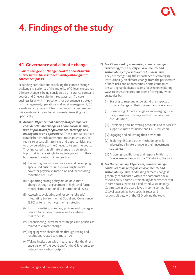# **4. Findings of the study**

# **4.1. Governance and climate change**

# *Climate change is on the agenda of the boards and the C-level suite in the insurance industry although with different emphasis.*

Expanding contributions to solving the climate change challenge is a priority of the majority of C-level executives. Climate change is being considered by insurance company boards and C-level suite in three ways, as (i) a core business issue with implications for governance, strategy, risk management, operations and asset management; (ii) a sustainability issue but transitioning into core business; (iii) a sustainability and environmental issue (Figure 3). Specifically:

- 1) *Around 38 per cent of participating companies consider climate change as a core business issue, with implications for governance, strategy, risk management and operations.* These companies have established interdepartmental mechanisms and/or teams to assess climate risks and opportunities and to provide advice to the C-level suite and the board. They indicated that climate change is a strategic topic that is increasingly being integrated into their businesses in various pillars, such as:
	- (i) Innovating products and services and developing specialised business units providing financial cover for physical climate risks and incentivising reduction of GHGs;
	- (ii) Supporting strong policy action on climate change through engagement in high-level formal mechanisms at national to international levels;
	- (iii)Assessing, evaluating and for some (already) integrating Environmental, Social and Governance (ESG) criteria into investment strategies;
	- (iv)Institutionalising company policies and strategies related to carbon-intensive sectors where it makes sense;
	- (v) Reconsidering investment strategies and policies as related to climate change;
	- (vi) Engaging with shareholders through voting and resolutions related to climate risk;
	- (vii)Taking institution-wide measures under the direct supervision of the board and/or the C-level suite to reduce their carbon footprint.
- 2) *For 29 per cent of companies, climate change is evolving from a purely environmental and sustainability topic into a core business issue.*  They are recognising the importance of converging institutionally on climate change from the perspective of both risks and opportunities. Some companies are setting up dedicated teams focused on exploring ways to assess the pros and cons of company-wide strategies by:
	- (i) Starting to map and understand the impacts of climate change on their business and operations;
	- (ii) Considering climate change as an emerging issue for governance, strategy and risk management considerations;
	- (iii) Developing and innovating products and services to support climate resilience and GHG reduction;
	- (iv) Engaging and educating their own staff;
	- (v) Exploring ESG and other methodologies for addressing climate change in their investment strategies;
	- (vi)Assigning specific roles and responsibilities to C-level executives, with the CEO driving the topic.
- 3) *For the remaining 33 per cent, climate change continues to be purely an environmental and sustainability issue.* Addressing climate change is generally coordinated within the corporate social responsibility and/or sustainability departments that in some cases report to a dedicated Sustainability Committee at the board level. In some companies, C-level executives have specific roles and responsibilities, with the CEO driving the topic.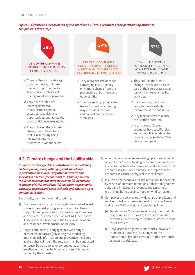# *Figure 3: Climate risk is considered by the boards and C-level executives of the participating insurance companies in three ways*



# **4.2. Climate change and the liability side**

*Insurers provide expertise in catastrophe risk modelling and risk pricing, along with significant knowledge in preventive measures. They offer innovative and specialised risk transfer solutions to: (i) build financial resilience to impacts of extreme events; (ii) incentivise reduction of GHG emissions; (iii) enable entrepreneurial pathways to green and clean technology from start-up to commercialisation.*

Specifically, our interviews indicated that:

- 1) The insurance industry is sharing its risk knowledge, risk modelling and risk pricing expertise with its clients in the public and private sectors to enable risk awareness and promote risk-based decision making (The Geneva Association 2016b, 2017a-b; The Geneva Association and Insurance Development Forum, 2017).
- 2) Larger companies are engaged in a wide range of research initiatives (advancing risk modelling, improving risk information and preventive measures against physical risks). The research may be conducted in-house, be outsourced or conducted at centres of excellence that may be bilaterally or multilaterally funded by the industry.
- 3) A number of companies are setting up 'innovation units' or 'incubators' or are 'funding new centres of excellence in adaptation' to develop new ideas and solutions to help economies tackle underinsurance and improve socioeconomic resilience to physical risks of climate.
- 4) Insurers offer incentives for risk reduction, for example by means of premium reductions if their policyholders adopt and implement preventive measures (e.g. retrofitting homes against flood or wind damage).
- 5) Companies are developing a wide range of products and services to help customers to build climate resilience and reduce GHG emissions. Examples include:
	- (i) *Traditional and/or alternative risk transfer* products (e.g. parametric insurance) for weather-related extremes, such as tropical cyclones, storms, floods, forest fires etc.;
	- (ii) *Crop insurance* against climate risks; however, there are a number of challenges to the innovation of broader coverage in this area, such as access to risk data;

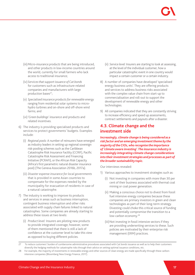- (iii)*Micro-insurance products* that are being introduced, and other products in low-income countries around the world, currently for small farmers who lack access to traditional insurance;
- (iv) *Services that support issuance of Cat bonds* for customers such as infrastructure-related companies and manufacturers with large production bases<sup>27</sup>;
- (v) *Specialised insurance products for renewable energy* ranging from residential solar systems to microhydro turbines and on-shore and off-shore wind farms; and
- (vi)*'Green buildings' insurance* and products and related incentives.
- 6) The industry is providing specialised products and services to protect governments' budgets. Examples include:
	- (i) *Regional pools:* A number of reinsurers have emerged as industry leaders in setting up regional sovereign risk-pooling schemes such as the Caribbean Catastrophe Risk Insurance Facility (CCRIF), Pacific Catastrophe Risk Assessment and Financing Initiative (PCRAFI), or the African Risk Capacity (Africa's first parametric natural disaster insurance pool) (The Geneva Association 2016b, 2017a).
	- (ii) *Disaster expense insurance for local governments*  that is provided in some Asian countries to compensate for the expenses needed by the municipality for evacuation of residents in case of a natural catastrophe.
- 7) The industry is working to improve its products and services in areas such as business interruption, contingent business interruption and other risks associated with supply chain failures linked to natural catastrophes. Some companies are already starting to address these issues at two levels:
	- (i) *Product level:* Insurers are piloting new products to provide integrated coverage; however, some of them mentioned that there is still a lack of confidence at the customer level to take this view as opposed to buying different policies.
- (ii) *Service level:* Insurers are starting to look at assessing, at the level of the individual customer, how a particular catastrophic event in one country would impact a certain customer or a certain industry.
- 8) A number of companies have developed 'specialised energy business units'. They are offering products and services to address business risks associated with the complex value chain from start-up to commercialisation and roll-out to support the development of renewable energy and other technologies.
- 9) All companies indicated that they are constantly striving to increase efficiency and speed up assessments, contract settlements and payouts after a disaster.

# **4.3. Climate change and the investment side**

*Increasingly, climate change is being considered as a risk factor and an emerging investment theme by the majority of the CIOs, who recognise the importance of 'climate aware investing'. The insurance industry is increasingly integrating climate change considerations into their investment strategies and processes as part of the broader sustainability topic.* 

Our interviews revealed:

- 1) Various approaches to investment strategies such as:
	- (i) Not investing in companies with more than 30 per cent of their business associated with thermal coal mining or coal power generation.
	- (ii) Making a conscious choice not to divest from fossil fuel intensive energy companies because these companies are primary investors in green and clean technologies as part of their long-term strategy. Divesting could choke this critical source of funding and potentially compromise the transition to a low-carbon economy.<sup>28</sup>
	- (iii) Not investing in fossil intensive sectors if they are providing underwriting services to these. Such policies are motivated by their enterprise risk management (ERM) practices.

<sup>27</sup> To reduce customers' burden of cumbersome administrative procedures associated with Cat bonds issuance as well as to help their customers diversify the hedging methods for catastrophe risks through their advice on setting optimal issuance conditions, etc.

<sup>28</sup> For example, the majority of investments in renewable energy and other sources of clean energy are made specifically through these carbonintensive companies (Bloomberg New Energy Finance, 2017).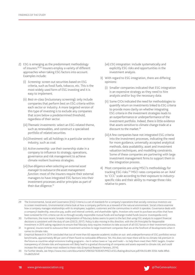- 2) ESG is emerging as the predominant methodology of insurers.29,30 Insurers employ a variety of different approaches when taking ESG factors into account. Examples include:
	- (i) *Screening:* screen out securities based on ESG criteria, such as fossil fuels, tobacco, etc. This is the most widely used form of ESG investing and it is easy to implement.
	- (ii) *Best-in-class* (inclusionary screening): only include companies that perform best on ESG criteria within each sector or industry. A more targeted version of this type of investing is to exclude any companies that score below a predetermined threshold, regardless of their sector.
	- (iii) *Thematic investments:* select an ESG-related theme, such as renewables, and construct a specialised portfolio of related securities.
	- (iv)*Divestment:* sell all holdings in a particular sector or industry, such as coal.
	- (v) *Active ownership:* use their ownership stake in a company to influence its strategy, operations, governance and risk management to achieve climate resilient business strategies.
	- (vi)*Due diligence when selecting an external asset manager to outsource the asset management function:* most of the insurers require their external managers to have integrated ESG factors into their investment processes and/or principles as part of their due diligence.<sup>31</sup>
- (vii) *ESG integration:* include systematically and explicitly ESG risks and opportunities in the investment analysis.
- 3) With regard to ESG integration, there are differing opinions:
	- (i) Smaller companies indicated that ESG integration is an expensive strategy as they need to hire analysts and/or buy the necessary data.
	- (ii) Some CIOs indicated the need for methodologies to quantify return on investments linked to ESG criteria to provide more clarity on whether integrating ESG criteria in the investment strategies leads to an outperformance or underperformance of the investment portfolio. Indeed, there is little evidence that assets sensitive to climate change trade at a discount to the market.<sup>32</sup>
	- (iii)A few companies have not integrated ESG criteria into the investment processes, indicating the need for more guidance, universally accepted analytical methods, data availability, asset and investment valuation techniques, and modelling constraints. Some of these companies are partnering with large investment management firms to support them in the integration process.
- 4) Most companies are using MSCI's methodology for tracking ESG risks.<sup>33</sup> MSCI rates companies on an 'AAA' to 'CCC' scale according to their exposure to industryspecific risks and their ability to manage those risks relative to peers.
- 29 The Environmental, Social and Governance (ESG) Criteria is a set of standards for a company's operations that socially conscious investors use to screen investments. Environmental criteria look at how a company performs as a steward of the natural environment. Social criteria examine how a company manages relationships with its employees, suppliers, customers and the communities in which it operates. Governance deals with a company's leadership, executive pay, audits and internal controls, and shareholder rights. Investors who want to purchase securities that have been screened for ESG criteria can do so through socially responsible mutual funds and exchange-traded funds (source: Investopedia.com).
- 30 Furthermore, the more recent, broader interpretation of fiduciary duties seems to point to the fact that using ESG analysis to support financial decisions is consistent with the duty of care (OECD, 2017). Policy is also moving in this direction, with the UN Principles for Responsible Investment in 2015 asking regulators to ensure that fiduciary duty requires investors to take account of all ESG factors in their investment process.
- 31 In general, insurers tend to outsource their investment activities to large investment companies that are at the forefront of developments when it comes to climate risks.
- 32 Empirical Research in 2014 concluded that out of more than 60 separate academic studies on out- and underperformance of ESG portfolios versus benchmarks, approximately 80 per cent of them found no noticeable difference. Yet, this does not mean there will be no climate risk premium in the future as countries adopt emissions trading programs —be it carbon taxes or 'cap and trade'— to help them meet their INDC targets. Greater transparency of climate risks and exposures will likely lead to a gradual discounting of companies and assets exposed to climate risk, and could increase the value of those most resilient to these risks (Empirical Research Partners, 2014).
- 33 For further details, see https://www.msci.com/documents/1296102/1636401/MSCI+ESG+Rating+Brochure.pdf/44c55c89-335b-4a9e-8fbd-51cd8252614f.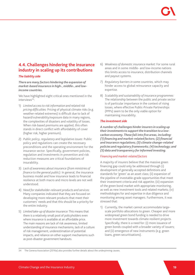# **4.4. Challenges hindering the insurance industry in scaling up its contributions**

# *The liability side*

*There are many factors hindering the expansion of market-based insurance in high-, middle-, and lowincome countries.* 

We have highlighted eight critical ones mentioned in the interviews<sup>34</sup>:

- 1) *Limited access to risk information and related risk pricing difficulties:* Pricing of physical climate risks (e.g. weather-related extremes) is difficult due to lack of hazard/vulnerability/exposure data in many regions, the complexities of disasters and volatility of losses. When risk-based premiums are applied, this often stands in direct conflict with affordability of cover (higher risk, higher premium).
- 2) *Public policy, regulatory and legislative issues:* Public policy and regulations can create the necessary preconditions and the operating environment for the insurance sector. Specifically, government policies, regulation and investments in prevention and risk reduction measures are critical foundations of insurability.
- 3) *Lack of awareness about insurance (from ministries of finance to the general public):* In general, the insurance business model and how insurance leads to financial resilience at both macro and micro levels are not well understood.
- 4) *Need for stakeholder-relevant products and services:*  Many companies indicated that they are focused on developing more relevant products that meet their customers' needs and that this should be a priority for the entire industry.
- 5) *Limited take-up of disaster insurance:* This means that there is a relatively small pool of policyholders even where insurance is available at an affordable price. The main reasons are lack of risk awareness, limited understanding of insurance mechanisms, lack of a culture of risk management, underestimation of potential impacts, and reliance on other support mechanisms such as post-disaster government handouts.
- 6) *Weakness of domestic insurance market:* For some rural areas and in some middle- and low-income nations this limits access to insurance, distribution channels and payout systems.
- 7) *Regulatory barriers in some countries,* which may hinder access to global reinsurance capacity and expertise.
- 8) *Scalability and sustainability of insurance programmes:*  The relationship between the public and private sector is of particular importance in the context of rising losses, where effective Public-Private Partnerships (PPPs) seem to be the only viable option for maintaining insurability.

# *The investment side*

*A number of challenges hinder insurers in scaling up their investments to support the transition to a lowcarbon economy. These fall into five areas, including: (1) financing and market-related factors; (2) financial and insurance regulations; (3) climate change–related policies and regulatory frameworks; (4) technology; and (5) data and transparency for informed investing.*

# *Financing and market-related factors*

A majority of insurers believe that the massive green financing gap could only be addressed through (i) development of generally accepted definitions and standards for 'green' as an asset class; (ii) expansion of the pipeline of investable-grade opportunities that meet their investment criteria and risk appetite; (iii) expansion of the green bond market with appropriate monitoring, as well as new investment tools and related markets; (iv) methodologies for and expertise in due diligence and monitoring among asset managers. Furthermore, it was stressed that:

1) Currently, the market cannot accommodate largescale portfolio allocations to green. Cheaper and more widespread green bond funding is needed to drive more investment towards climate resilient projects. Specifically, there is a need for: (i) more issuance of green bonds coupled with a broader variety of issuers; and (ii) emergence of new instruments (e.g. green loans, green securitisations).

34 The Geneva Association (2016a) also provides further details about the underpinning causes.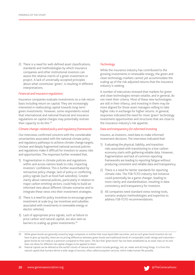2) There is a need for well-defined asset classifications, standards and methodologies by which insurance companies and other institutional investors can assess the relative merits of a green investment or project. A lack of universally accepted principles about what constitutes 'green', is resulting in different interpretations.

#### *Financial and insurance regulations*

Insurance companies evaluate investments on a risk-return basis including return on capital. They are increasingly interested in reallocating capital towards long-term green investments. However, some respondents noted that international and national financial and insurance regulations on capital charges may potentially restrain their capacity to do this.<sup>35</sup>

#### *Climate change–related policy and regulatory frameworks*

Our interviews confirmed concerns with the considerable uncertainties associated with the national climate policy and regulatory pathways to achieve climate change targets. Unclear and deeply fragmented national sectoral policies and regulations make it difficult for investors to assess risks and opportunities. The responses further revealed that,

- 1) Fragmentation in climate policies and regulations within and across nations leads to risks, impacting investors' confidence. This is further exacerbated by retroactive policy change, lack of policy or conflicting policy signals (such as fossil fuel subsidies). Greater clarity about national policies, particularly in relation to major carbon emitting sectors, could help to build an informed view about different climate scenarios and to integrate these views into their investment strategies.
- 2) There is a need for policy incentives to encourage green investment at scale (e.g. tax incentives and subsidies associated with investments in renewable energy or electric vehicles).
- 3) Lack of appropriate price signals, such as failure to price carbon and natural capital, are also seen as barriers to scaling up green investments.<sup>36</sup>

### *Technology*

While the insurance industry has contributed to the growing investments in renewable energy, the green and clean technology markets cannot yet accommodate the scaling up of the risk-adjusted returns that the insurance industry is seeking.

A number of executives stressed that markets for green and clean technologies remain volatile, and in general, do not meet their criteria. Most of these new technologies are still in their infancy, and investing in them may be more aligned for those asset managers willing to take higher risks in exchange for higher returns. In general, responses indicated the need for more 'green' technology investment opportunities and structures that are close to the insurance industry's risk appetite.

#### *Data and transparency for informed investing*

Insurers, as investors, need data to make informed investment decisions. The interviews indicated that:

- 1) Evaluating the physical, liability, and transition risks associated with transitioning to a low-carbon economy starts with gathering reliable data. However, fragmentation and lack of common reporting frameworks are leading to reporting fatigue without producing consistent and reliable data and transparency.
- 2) There is a need for better standards for reporting climate risks. The FSB-TCFD industry-led initiative could potentially be a game changer, leading to more clarity and standardisation, resulting in data consistency and transparency for investors.
- 3) All companies need standard stress testing tools, scenario analysis methodologies and expertise to address FSB-TCFD recommendations.

<sup>35</sup> While green bonds are generally issued by large companies or entities that issue liquid debt securities, and as such green bond investors do not have to give up liquidity, there are no pricing differences between green bonds and traditional bonds of comparable credit ratings and maturities green bonds do not trade at a premium compared to their peers. The fact that 'green bond' has not been established as an asset class on its own does not allow for different risk capital charges to be applied to them.

<sup>36</sup> Natural capital can be defined as the world's stocks of natural assets which include geology, soil, air, water and all living things. It is from this natural capital that humans derive a wide range of services, often called ecosystem services, which make human life possible.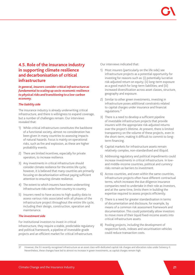# **4.5. Role of the insurance industry in supporting climate resilience and decarbonisation of critical infrastructure**

*In general, insurers consider critical infrastructure as fundamental to scaling up socio-economic resilience to physical risks and transitioning to a low-carbon economy.* 

# *The liability side*

The insurance industry is already underwriting critical infrastructure, and there is willingness to expand coverage, but a number of challenges remain. Our interviews revealed that:

- 1) While critical infrastructure constitutes the backbone of a functional society, almost no consideration has been given in many countries to assessing impacts of natural hazards. Focus is mainly on operational risks, such as fire and explosion, as these are higher probability events.
- 2) There are limited incentives, especially for private operators, to increase resilience.
- 3) Any investments in critical infrastructure should consider climate resilience for the entire life cycle; however, it is believed that many countries are primarily focusing on decarbonisation without paying sufficient attention to ensuring climate resilience.
- 4) The extent to which insurers have been underwriting infrastructure risks varies from country to country.
- 5) Insurers need to have access to high quality data to assess various risks associated with all phases of the infrastructure project throughout the entire life cycle, including their design, construction, operation and maintenance.

# *The investment side*

For institutional investors to invest in critical infrastructure, they require a stable, predictable regulatory and political framework, a pipeline of investable-grade projects and an efficient market for critical infrastructure.

Our interviews indicated that:

- 1) Most insurers (particularly on the life side) see infrastructure projects as a potential opportunity for investing for reasons such as: (i) potentially lucrative risk-adjusted return on equity; (ii) long-term exposure as a good match for long-term liabilities; and (iii) increased diversification across asset classes, structure, geography and exposure.
- 2) Similar to other green investments, investing in infrastructure poses additional constraints related to capital charges under insurance and financial regulations.37
- 3) There is a need to develop a sufficient pipeline of investable infrastructure projects that provide insurers with the appropriate risk-adjusted returns over the project's lifetime. At present, there is limited transparency on the volume of these projects, even in the short-term, making it difficult to commit to longterm financing.
- 4) Capital markets for infrastructure assets remain relatively complex, non-standardised and illiquid.
- 5) Addressing regulatory and political impediments could increase investments in critical infrastructure. In lowand middle-income countries, political and currency risks remain as barriers to investment.
- 6) Across countries, and even within the same countries, infrastructure projects often have different contractual terms, which increases the due diligence insurance companies need to undertake in their role as investors, and at the same time, limits them in building the expertise required to assess projects efficiently.
- 7) There is a need for greater standardisation in terms of documentation and disclosure, for example, by means of a common risk assessment framework and documentation. This could potentially allow investors to move more of their liquid fixed-income assets into critical infrastructure assets.
- 8) Pooling projects, including the development of respective funds, indexes and securitisation vehicles could reduce transaction costs.

<sup>37</sup> However, the EU recently recognised infrastructure as an asset class with dedicated capital risk charges and allocation rules under Solvency II. Nevertheless, these changes have led to almost no increase in green investments, as capital charges remain high.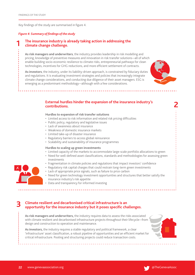**1**

Key findings of the study are summarised in figure 4.

### *Figure 4: Summary of findings of the study*

# **The insurance industry is already taking action in addressing the climate change challenge.**

**As risk managers and underwriters**, the industry provides leadership in risk modelling and pricing, knowledge of preventive measures and innovation in risk transfer solutions—all of which enable building socio-economic resilience to climate risks, entrepreneurial pathways for clean technologies, incentives for GHG reductions, and more efficient settlement of contracts.

**As investors**, the industry, under its liability-driven approach, is constrained by fiduciary duties and regulations. It is evaluating investment strategies and policies that increasingly integrate climate change considerations, and conducting due diligence of their asset managers. ESG is emerging as a predominant methodology—although with a few considerations.



**2**

# **External hurdles hinder the expansion of the insurance industry's contributions.**

#### **Hurdles to expansion of risk transfer solutions**

- Limited access to risk information and related risk pricing difficulties
- Public policy, regulatory and legislative issues
- Lack of awareness about insurance
- Weakness of domestic insurance markets
- Limited take-up of disaster insurance
- Regulatory barriers to access global reinsurance
- Scalability and sustainability of insurance programmes

# **Hurdles to scaling up green investments**

- Limited capacity of the markets to accommodate large-scale portfolio allocations to green
- Need for well-defined asset classifications, standards and methodologies for assessing green investments
- Fragmentation in climate policies and regulations that impact investors' confidence
- Regulatory risk capital charges that could restrain long-term green investments
- Lack of appropriate price signals, such as failure to price carbon
- Need for green technology investment opportunities and structures that better satisfy the insurance industry's risk appetite
- Data and transparency for informed investing

# **Climate resilient and decarbonised critical infrastructure is an 3 opportunity for the insurance industry but it poses specific challenges.**

**As risk managers and underwriters,** the industry requires data to assess the risks associated with climate resilient and decarbonised infrastructure projects throughout their lifecycle—from design and construction to operation and maintenance.

**As investors,** the industry requires a stable regulatory and political framework, a clear 'infrastructure' asset classification, a robust pipeline of opportunities and an efficient market for critical infrastructure. Pooling and structuring projects could reduce transaction costs.

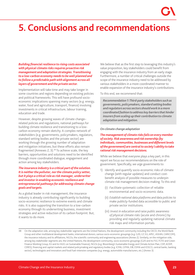# **5. Conclusions and recommendations**

*Building financial resilience to rising costs associated with physical climate risks requires proactive risk management and adaptation strategies. Transitioning to a low-carbon economy needs to be well planned and to follow a predictable path with alignment across all layers of government and the private sector.* 

Implementation will take time and may take longer in some countries and regions depending on existing policies and political frameworks. This will have profound socioeconomic implications spanning many sectors (e.g. energy, water, food and agriculture, transport, finance) involving investments in critical infrastructure, labour training, education and trade.

However, despite growing waves of climate change– related policies and regulations, national pathways for building climate resilience and transitioning to a lowcarbon economy remain sketchy. A complex network of stakeholders (e.g. governments, policymakers, regulators, standard setting bodies and the private sector) are working through the growing number of adaptation and mitigation initiatives, but these efforts also remain fragmented (Annexes 2, 3).<sup>38</sup> To achieve scale, the key barriers, opportunities and solutions need to be identified through more coordinated dialogue, engagement and action among key stakeholders.

# *The insurance industry is a critical part of the solution. It is neither the polluter, nor the climate policy setter, but it plays a critical role as risk manager, underwriter and investor in enabling economic resilience and entrepreneurial pathways for addressing climate change goals and targets.*

As a global leader in risk management, the insurance industry is already contributing significantly to building socio-economic resilience to extreme events and climate risks. It is also supporting the transition to a low-carbon economy through its underwriting business, investment strategies and active reduction of its carbon footprint. But, it wants to do more.

We believe that as the first step to leveraging this industry's value proposition, key stakeholders could benefit from engaging with the insurance industry from an early stage. Furthermore, a number of critical challenges outside the scope of the insurance industry need to be addressed by various stakeholders in a more coordinated manner to enable expansion of the insurance industry's contributions.

To this end, we recommend that:

*Recommendation 1: Third-party stakeholders such as governments, policymakers, standard setting bodies and regulators across sectors should work in a more coordinated fashion to address key barriers that hinder insurers from scaling up their contribution to climate adaptation and mitigation.*

### *On climate change adaptation*

# *The management of climate risks falls on every member of society. Risk awareness and risk ownership (by individuals, communities, businesses and different levels of the government) are central to society's ability to take rational risk management decisions.*

While we believe that everyone plays a key part, in this report we focus our recommendations on the role of government. Specifically, we urge governments to:

- 1) Identify and quantify socio-economic risks of climate change (with regular updates) and conduct costbenefit analysis of possible measures to underpin climate risk management decision-making. To this end:
	- (i) *Facilitate systematic collection* of reliable environmental and socio-economic data.
	- (ii) *Establish national data platforms and data policies* to make publicly-funded data accessible to public and private sector institutions.
	- (iii) *Invest in education and raise public awareness of physical climate risks* (acute and chronic) by providing and regularly updating national climate risk maps and information portals.

38 On the adaptation side, among key stakeholder segments are the United Nations, the development community including the OECD, the World Bank Group and other multilateral development banks, international donors, various socio-economic groupings (e.g. G20, G7, EU, APEC, ASEAN, CARICOM), the insurance industry and its affiliations, NGOs, the scientific community and engineering associations (Annex 2). Similarly, on the mitigation side, among key stakeholder segments are, the United Nations, the development community, socio-economic groupings (G20 and its FSG-TCFD and Green Finance Working Group, EU and its HLEG on Sustainable Finance), NGOs (e.g. Bloomberg's Sustainable Energy and Climate Action Plan, CDP, AODP, CERES), financing and capital markets and related policymaking and regulatory bodies (e.g. ICMA, GFMA, EIB, ESMA and IOSCO, central banks, banking sector), technologists and innovators and fossil fuel–intensive companies (e.g. energy, automobile manufacturers, etc.) (Annex 3)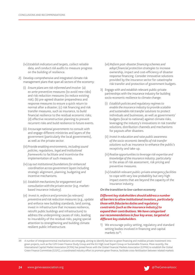- (iv)*Establish indicators and targets, collect reliable data, and conduct risk audit*s to measure progress on the building of resilience.
- 2) Develop comprehensive and integrated climate risk management plans that span all sectors of the economy:
	- (i) *Ensure plans are risk-informed and involve:* (a) *ex-ante* preventive measures (to avoid new risks) and risk reduction measures (to reduce existing risk); (b) pre-agreed disaster preparedness and response measures to ensure a quick return to normal after a disaster; (c) risk financing and risk transfer measures, such as insurance, to build financial resilience to the residual economic risks; (d) effective reconstruction planning to prevent recurrent risks and build resilience to future events.
	- (ii) *Encourage national governments* to consult with and engage different ministries and layers of the government (particularly the local governments), as well as the private sector.
	- (iii)*Provide enabling environments, including sound policies, regulations, legal and institutional frameworks* to facilitate and incentivise the implementation of such measures.
	- (iv) *Lay out institutional foundations for enhanced coordination across government layers* including strategic alignment, planning, budgeting and incentive mechanisms.
	- (v) *Establish mechanisms for engagement and consultation with the private sector* (e.g. marketbased insurance industry).
	- (vi) *Invest in, enforce and promote (as relevant) preventive and risk reduction measures* (e.g., update and enforce new building standards, land zoning, invest in infrastructure that increases resilience, retrofit public buildings and infrastructure) to address the underpinning causes of risks, leading to insurability of the residual risks, paying special attention to strengthening and building climate resilient public infrastructure.
- (vii) *Reform post-disaster financing schemes and adopt financial protection strategies* to increase ownership, impact and cost-efficiency of disaster response financing. Consider innovative solutions provided by the insurance sector for catastrophe risk transfer and protection of government budgets.
- 3) Engage with and establish relevant public-private partnerships with the insurance industry for building socio-economic resilience to climate change:
	- (i) *Establish policies and regulatory regimes to enable the insurance industry to provide scalable and sustainable risk transfer solutions* to protect individuals and businesses, as well as governments' budgets (local to national) against climate risks, leveraging the industry's innovations in risk transfer solutions, distribution channels and mechanisms for payouts after disasters.
	- (ii) *Invest in education and raise public awareness of the socio-economic benefits of risk transfer solutions* such as insurance to enhance the public's receptivity and take-up.
	- (iii)*Realise opportunities to leverage risk expertise and knowledge of the insurance industry*, particularly in the areas of risk assessment, risk pricing and preventive measures.
	- (iv) *Establish relevant public-private emergency facilities* to cope with very low probability but very high impact events that are beyond the capacity of the insurance industry.

### *On the transition to low-carbon economy*

*Different key stakeholders should address a number of barriers to allow institutional investors, particularly those with fiduciaries duties and regulatory constraints (such as the insurance industry) to expand their contributions. We have categorised our recommendations in four key areas, targeted at different key stakeholders.* 

1) We encourage policy setting, regulatory and standard setting bodies involved in financing and capital markets to $39$ :

39 A number of intergovernmental mechanisms are emerging, aiming to identify barriers to green financing and mobilise private investment into green projects, such as the G20 Green Finance Study Group and the EU High Level Expert Group on Sustainable Finance. More recently, the International Capital Market Association (ICMA) has joined forces with the Global Financial Markets Association (GFMA) to establish the Global Green Finance Committee (GGFC), a coordinated industry effort to promote green finance, facilitate cross-fertilisation between related markets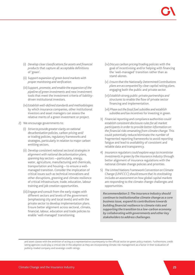- (i) *Develop clear classifications for assets and financial products* that capture all acceptable definitions of 'green'.
- (ii) *Support expansion of green bond markets with proper monitoring and verification.*
- (iii)*Support, promote, and enable the expansion of the pipeline of green investments* and new investment tools that meet the investment criteria of liabilitydriven institutional investors.
- (iv) *Establish well-defined standards and methodologies* by which insurance companies, other institutional investors and asset managers can assess the relative merits of a green investment or project.
- 2) We encourage governments to:
	- (i) *Strive to provide greater clarity on national decarbonisation* policies, carbon pricing and/ or trading policies, regulatory frameworks and strategies, particularly in relation to major carbon emitting sectors.
	- (ii) *Develop consistent national sectoral strategies in alignment with national decarbonisation plans, spanning key sectors* —particularly, energy, water, agriculture, manufacturing and chemicals, transportation and housing— to ensure a wellmanaged transition. Consider the implication of critical issues such as technical innovations and other disruptions, greening and climate resilience of critical infrastructure, trade, education, labour training and job creation opportunities.
	- (iii) *Engage and consult* from the early stages with different sectors and levels of the government (emphasising city and local levels) and with the private sector to develop implementation plans. Ensure better alignment across sectoral, climate, financial, labour, education and trade policies to enable 'well-managed' transitioning.
- (iv)*Discuss carbon pricing/trading policies* with the goal of incentivising and/or helping with financing the 'well-managed' transition rather than as stand-alones.
- (v) *Ensure that the Nationally Determined Contributions plans are accompanied by clear capital raising plans*, engaging both the public and private sector.
- (vi) *Establish strong public-private partnerships and structures* to enable the flow of private sector financing and implementation.
- (vii) *Phase out the fossil fuel subsidies and establish subsidies and tax incentives* for investing in green.
- 3) *Financial reporting and compliance authorities could establish consistent disclosure rules for all market participants in order to provide better information on the financial risks emanating from climate change.* This could potentially reduce/eliminate the number of fragmented reporting frameworks to avoid reporting fatigue and lead to availability of consistent and reliable data and transparency.
- 4) *Insurance regulators could explore ways to incentivise investments in green by the insurance industry* through better alignment of insurance regulations with the national climate change policies and priorities.
- 5) *The United Nations Framework Convention on Climate Change (UNFCCC) should ensure that its stocktaking includes an assessment on how global capital markets* are responding to the climate change challenges and opportunities.

*Recommendation 2: The insurance industry should continue to institutionalise climate change as a core business issue, expand its contributions towards building financial resilience to climate risks and supporting the transition to a low-carbon economy by collaborating with governments and other key stakeholders to address challenges.*

and asset classes with the ambition of acting as a representative counterparty to the official sector on green policy matters. Furthermore, credit rating agencies could play a critical role in the adoption as they are incorporating climate risk management as a factor in their evaluation of publicly-traded company and sovereign credit ratings.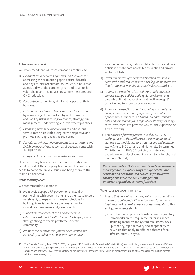### *At the company level*

We recommend that insurance companies continue to:

- 1) *Expand their underwriting products and services* for addressing the protection gap to natural hazards and physical risks of climate; to reduce business risks associated with the complex green and clean tech value chain; and incentivise preventive measures and GHG reduction.
- 2) *Reduce their carbon footprint* for all aspects of their business.
- 3) *Institutionalise climate change as a core business issue* by considering climate risks (physical, transition and liability risks) in their governance, strategy, risk management, underwriting and investment practices.
- 4) *Establish governance mechanisms* to address longterm climate risks with a long-term perspective and promote such approaches as the norm.
- 5) *Stay abreast of latest developments in stress testing and 2oC Scenario analysis*, as well as of developments with the FSB-TCFD.
- 6) *Integrate climate risks into investment decisions.*

However, many barriers identified in this study cannot be addressed at the company level alone. The industry needs to converge on key issues and bring them to the table as a collective.

### *At the industry level*

We recommend the sector to:

- 1) *Proactively engage with governments*, establish partnerships with governments and other stakeholders, as relevant, to expand risk transfer solutions for building financial resilience to climate risks for individuals, businesses and governments.
- 2) *Support the development and advancements in catastrophe risk models with a forward looking approach*  through strong partnership with the scientific community.
- 3) *Promote the need for the systematic collection and availability of publicly-funded environmental and*

*socio-economic data*, national data platforms and data policies to make data accessible to public and private sector institutions.

- 4) *Invest multilaterally in climate adaptation research in areas such as risk reduction measures (e.g. home storm and flood protection, benefits of natural infrastructure), etc.*
- 5) *Promote the need for clear, coherent and consistent climate change policies and regulatory frameworks*  to enable climate adaptation and 'well-managed' transitioning to a low-carbon economy.
- 6) *Promote the need for 'green' and 'infrastructure' asset classification, expansion of pipeline of investable opportunities, standards and methodologies, reliable data and transparency and regulatory stability* for longterm investments to pave the way for the expansion of green investing.
- 7) *Stay abreast of developments with the FSB-TCFD and engage in and contribute to the development of standard methodologies for stress-testing and scenario*  analysis (e.g. 2°C Scenario and Nationally Determined Contributions (NDCs))<sup>40</sup>, building on extensive experience with development of such tools for physical risks (e.g. NatCat).

*Recommendation 3: Governments and the insurance industry should explore ways to support climate resilient and decarbonised critical infrastructure through the industry's risk management, underwriting and investment functions.* 

We encourage governments to:

- 1) *Ensure that new infrastructure projects, either public or private, are delivered with consideration for resilience to physical risks as well as decarbonisation goals.* To this end, governments should:
	- (i) Set clear public policies, legislation and regulatory frameworks on the requirements for resilience, including measures for system robustness, backup capacity, rapid recovery and adaptability to new risks that apply to different phases of the infrastructure life cycle.



<sup>40</sup> The Financial Stability Board TCFD (2017) recognises NDC (Nationally Determined Contributions) as a particularly useful scenario where NDCs are commonly accepted. (See p.28 of the TCFD Final report which reads "In jurisdictions where NDCs are a commonly accepted guide for an energy and/ or emissions pathway, NDCs may constitute particularly useful scenarios to include in an organisation's suite of scenarios for conducting climaterelated scenario analysis.")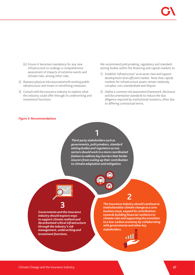- (ii) Ensure it becomes mandatory for any new infrastructure to undergo a comprehensive assessment of impacts of extreme events and climate risks, among other risks.
- 2) *Reassess physical risks associated with existing public infrastructure* and invest in retrofitting measures.
- 3) *Consult with the insurance industry* to explore what the industry could offer through its underwriting and investment functions.

We recommend policymaking, regulatory and standardsetting bodies within the financing and capital markets to:

- 1) *Establish 'infrastructure' as an asset class and support development of an efficient market.* Note that capital markets for infrastructure assets remain relatively complex, non-standardised and illiquid.
- 2) *Define a common risk assessment framework, disclosure and documentation standards* to reduce the due diligence required by institutional investors, often due to differing contractual terms*.*

### *Figure 5: Recommendations*

 *Third-party stakeholders such as governments, policymakers, standard setting bodies and regulators across sectors should work in a more coordinated fashion to address key barriers that hinder insurers from scaling up their contribution to climate adaptation and mitigation.*

 **1**



*Governments and the insurance industry should explore ways to support climate resilient and decarbonised critical infrastructure through the industry's risk management, underwriting and investment functions.* 

*The insurance industry should continue to institutionalise climate change as a core business issue, expand its contributions towards building financial resilience to climate risks and supporting the transition to a low-carbon economy by collaborating with governments and other key stakeholders.* 

**2**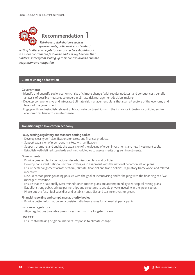

# **Recommendation 1**

 *Third-party stakeholders such as governments, policymakers, standard setting bodies and regulators across sectors should work in a more coordinated fashion to address key barriers that hinder insurers from scaling up their contribution to climate adaptation and mitigation.*

# **Climate change adaptation**

### **Governments**

- Identify and quantify socio-economic risks of climate change (with regular updates) and conduct cost-benefit analysis of possible measures to underpin climate risk management decision-making.
- Develop comprehensive and integrated climate risk management plans that span all sectors of the economy and levels of the government.
- Engage with and establish relevant public-private partnerships with the insurance industry for building socioeconomic resilience to climate change.

### **Transitioning to low-carbon economy**

### **Policy setting, regulatory and standard setting bodies**

- Develop clear 'green' classifications for assets and financial products.
- Support expansion of green bond markets with verification.
- Support, promote, and enable the expansion of the pipeline of green investments and new investment tools.
- Establish well-defined standards and methodologies to assess merits of green investments.

### **Governments**

- Provide greater clarity on national decarbonisation plans and policies.
- Develop consistent national sectoral strategies in alignment with the national decarbonisation plans.
- Ensure better alignment across sectoral, climate, financial and trade policies, regulatory frameworks and related incentives.
- Discuss carbon pricing/trading policies with the goal of incentivising and/or helping with the financing of a 'wellmanaged' transition.
- Ensure that the Nationally Determined Contributions plans are accompanied by clear capital raising plans.
- Establish strong public-private partnerships and structures to enable private investing in the green sector.
- Phase out the fossil fuel subsidies and establish subsidies and tax incentives for green.

# **Financial reporting and compliance authority bodies**

• Provide better information and consistent disclosure rules for all market participants.

### **Insurance regulators**

• Align regulations to enable green investments with a long-term view.

# **UNFCCC**

• Ensure stocktaking of global markets' response to climate change.

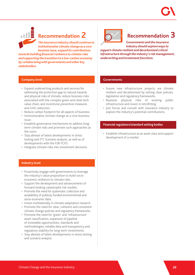# **Recommendation 2**

*The insurance industry should continue to institutionalise climate change as a core business issue, expand its contributions* 

*towards building financial resilience to climate risks and supporting the transition to a low-carbon economy by collaborating with governments and other key stakeholders.* 

# **Recommendation 3**

*Governments and the insurance industry should explore ways to support climate resilient and decarbonised critical infrastructure through the industry's risk management, underwriting and investment functions.* 

# **Company level**

- Expand underwriting products and services for addressing the protection gap to natural hazards and physical risks of climate; reduce business risks associated with the complex green and clean tech value chain; and incentivise preventive measures and GHG reduction.
- Reduce carbon footprint for all aspects of business.
- Institutionalise climate change as a core business issue.
- Establish governance mechanisms to address longterm climate risks and promote such approaches as the norm.
- Stay abreast of latest developments in stress testing and 2°C Scenario analysis, as well as of developments with the FSB-TCFD.
- Integrate climate risks into investment decisions.

# **Industry level**

- Proactively engage with governments to leverage the industry's value proposition to build socioeconomic resilience to climate risks.
- Support the development and advancements of forward-looking catastrophe risk models.
- Promote the need for systematic collection and availability of publicly-funded environmental and socio-economic data.
- Invest multilaterally in climate adaptation research.
- Promote the need for clear, coherent and consistent climate change policies and regulatory frameworks.
- Promote the need for 'green' and 'infrastructure' asset classification, expansion of pipeline of investable opportunities, standards and methodologies, reliable data and transparency and regulatory stability for long-term investments.
- Stay abreast of latest developments in stress testing and scenario analysis.

# **Governments**

- Ensure new infrastructure projects are climate resilient and decarbonised by setting clear policies, legislation and regulatory frameworks.
- Reassess physical risks of existing public infrastructure and invest in retrofitting.
- Join forces and consult with insurance industry to explore the industry's potential contributions.

# **Financial regulators/standard setting bodies**

• Establish infrastructure as an asset class and support development of a market.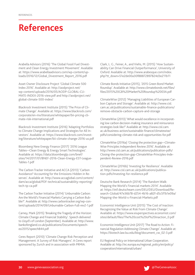# **References**

Arabella Advisors (2016) 'The Global Fossil Fuel Divestment and Clean Energy Investment Movement'. Available at: https://www.arabellaadvisors.com/wp-content/uploads/2016/12/Global\_Divestment\_Report\_2016.pdf

Asset Owner Disclosure Project 'Global Climate 500 Index 2016'. Available at: http://aodproject.net/ wp-content/uploads/2016/05/AODP-GLOBAL-CLI-MATE-INDEX-2016-view.pdf and http://aodproject.net/ global-climate-500-index/

Blackrock Investment Institute (2015) 'The Price of Climate Change'. Available at: https://www.blackrock.com/ corporate/en-mx/literature/whitepaper/bii-pricing-climate-risk-international.pdf

Blackrock Investment Institute (2016) 'Adapting Portfolios to Climate Change Implications and Strategies for All Investors'. Available at: https://www.blackrock.com/investing/literature/whitepaper/bii-climate-change-2016-us.pdf

Bloomberg New Energy Finance (2017) '2016 League Tables—Clean Energy & Energy Smart Technologies'. Available at: https://data.bloomberglp.com/bnef/ sites/14/2017/01/BNEF-2016-Clean-Energy-EST-League-Tables-1.pdf

The Carbon Tracker Initiative and ACCA (2013) 'Carbon Avoidance? Accounting for the Emissions Hidden in Reserves'. Available at: http://www.accaglobal.com/content/ dam/acca/global/PDF-technical/sustainability-reporting/ tech-tp-ca.pdf

The Carbon Tracker Initiative (2014) 'Unburnable Carbon: Are the World's Financial Markets Carrying a Carbon Bubble?'. Available at: http://www.carbontracker.org/wp-content/uploads/2014/09/Unburnable-Carbon-Full-rev2-1.pdf

Carney, Mark (2015) 'Breaking the Tragedy of the Horizon: Climate Change and Financial Stability'. Speech delivered to Lloyd's of London (September). Available at: http://www. bankofengland.co.uk/publications/Documents/speeches/2015/speech844.pdf

Ceres Report (2010) 'Climate Change Risk Perception and Management: A Survey of Risk Managers'. A Ceres report sponsored by Zurich and in association with PRMIA.

Clark, L. G., Feiner, A., and Viehs, M. (2015) 'How Sustainability Can Drive Financial Outperformance', University of Oxford. Available at: http://www.arabesque.com/index. php?tt\_down=51e2de00a30f88872897824d3e211b11

Climate Bonds Initiative (2015), '2015 Green Bond Market Roundup'. Available at: http://www.climatebonds.net/files/ files/2015%20GB%20Market%20Roundup%2003A.pdf

ClimateWise (2012) 'Managing Liabilities of European Carbon Capture and Storage'. Available at: http://www.cisl. cam.ac.uk/publications/sustainable-finance-publications/ remove-obstacle-carbon-capture-and-storage

ClimateWise (2013) 'What would excellence in incorporating low carbon decision-making insurance and reinsurance strategies look like?' Available at: http://www.cisl.cam. ac.uk/business-action/sustainable-finance/climatewise/ pdfs/considering-climate-risk-and-opportunities-for.pdf

ClimateWise (2016a) 'Closing the protection gap—Climate-Wise Principles Independent Review 2016'. Available at: http://www.cisl.cam.ac.uk/publications/publication-pdfs/ Closing-the-protection-gap-ClimateWise-Principles-Independent-Review-2016.pdf

ClimateWise (2016b) 'Investing for Resilience'. Available at: http://www.cisl.cam.ac.uk/publications/publication-pdfs/Investing-for-resilience.pdf

Deutsche Bank Research (2014) 'The Random Walk: Mapping the World's Financial markets 2014'. Available at: https://etf.deutscheam.com/DEU/DEU/Download/Research-Global/47e36b78-d254-4b16-a82f-d5c5f1b1e09a/ Mapping-the-World-s-Financial-Markets.pdf

Economist Intelligence Unit (2015) 'The Cost of Inaction: Recognizing the Value at Risk From Climate Change'. Available at: https://www.eiuperspectives.economist.com/ sites/default/files/The%20cost%20of%20inaction\_0.pdf

Economist Intelligence Unit (2017) 'The Road to Action: Financial Regulation Addressing Climate Change'. Available at: https://biotech.law.lsu.edu/blog/document\_cw\_02-3.pdf

EU Regional Policy on International Urban Cooperation. Available at: http://ec.europa.eu/regional\_policy/en/policy/ cooperation/international/urban/

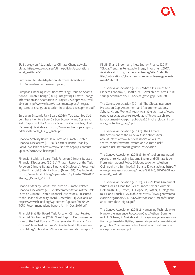EU Strategy on Adaptation to Climate Change. Available at: https://ec.europa.eu/clima/policies/adaptation/ what en#tab-0-1

European Climate Adaptation Platform. Available at: http://climate-adapt.eea.europa.eu/

European Financing Institutions Working Group on Adaptation to Climate Change (2016) 'Integrating Climate Change Information and Adaptation in Project Development'. Available at: http://www.eib.org/attachments/press/integrating-climate-change-adaptation-in-project-development.pdf

European Systemic Risk Board (2016) 'Too Late, Too Sudden: Transition to a Low-Carbon Economy and Systemic Risk'. Reports of the Advisory Scientific Committee, No 6 (February). Available at: https://www.esrb.europa.eu/pub/ pdf/asc/Reports\_ASC\_6\_1602.pdf

Financial Stability Board: Task Force on Climate-Related Financial Disclosures (2016a) 'Charter Financial Stability Board'. Available at https://www.fsb-tcfd.org/wp-content/ uploads/2016/02/Charter.pdf.

Financial Stability Board: Task Force on Climate-Related Financial Disclosures (2016b) 'Phase I Report of the Task Force on Climate-Related Financial Disclosure'. Presented to the Financial Stability Board, (March 31). Available at: https://www.fsb-tcfd.org/wp-content/uploads/2016/03/ Phase\_I\_Report\_v15.pdf

Financial Stability Board: Task Force on Climate-Related Financial Disclosures (2016c) 'Recommendations of the Task Force on Climate-Related Financial Disclosures', Presented to the Financial Stability Board (December 14). Available at: https://www.fsb-tcfd.org/wp-content/uploads/2016/12/ TCFD-Recommendations-Report-A4-14-Dec-2016.pdf

Financial Stability Board: Task Force on Climate-Related Financial Disclosures (2017) 'Final Report: Recommendations of the Task Force on Climate-related Financial Disclosures', launched on June 29. Available at: https://www. fsb-tcfd.org/publications/final-recommendations-report/ FS UNEP and Bloomberg New Energy Finance (2017) 'Global Trends in Renewable Energy Investment 2017'. Available at: http://fs-unep-centre.org/sites/default/ files/publications/globaltrendsinrenewableenergyinvestment2017.pdf

The Geneva Association (2007) 'What's Insurance to a Modern Economy?', Liedtke, M. P. Available at: https://link. springer.com/article/10.1057/palgrave.gpp.2510128

The Geneva Association (2014a) 'The Global Insurance Protection Gap: Assessment and Recommendations,' Schanz, K., and Wong, S. (eds). Available at: https://www. genevaassociation.org/sites/default/files/research-topics-document-type/pdf\_public/ga2014-the\_global\_insurance\_protection\_gap\_1.pdf

The Geneva Association (2014b) 'The Climate Risk Statement of the Geneva Association'. Available at: https://www.genevaassociation.org/research-topics/extreme-events-and-climate-risk/ climate-risk-statement-geneva-association

The Geneva Association (2016a) 'Benefits of an Integrated Approach to Managing Extreme Events and Climate Risks: From International Policy Dialogue to Action'. Authors: Golnaraghi, M. Surminski, S., Schanz, K. Available at: https:// www.genevaassociation.org/media/952146/20160908\_ecoben20\_final.pdf

The Geneva Association (2016b), 'COP21 Paris Agreement: What Does it Mean for (Re)insurance Sector?' Authors: Golnaraghi, M., Bresch, D., Höppe, P., Löffler, K., Nagamura, M. and Rauch, E. Available at: https://www.genevaassociation.org/media/942906/whatdoescop21meanforinsurance\_complete\_digital.pdf

The Geneva Association (2016c) 'Harnessing Technology to Narrow the Insurance Protection Gap'. Authors: Sommerrock, F., Schanz, K. Available at: https://www.genevaassociation.org/sites/default/files/research-topics-document-type/ pdf\_public//harnessing-technology-to-narrow-the-insurance-protection-gap.pdf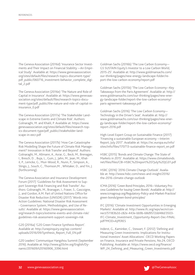The Geneva Association (2016d) 'Insurance Sector Investments and Their Impact on Financial Stability —An Empirical Study'. Available at: https://www.genevaassociation. org/sites/default/files/research-topics-document-type/ pdf\_public/060716\_investment-behavior\_complete\_digital\_2.pdf

The Geneva Association (2016e) 'The Nature and Role of Capital in Insurance'. Available at: https://www.genevaassociation.org/sites/default/files/research-topics-document-type/pdf\_public/the-nature-and-role-of-capital-ininsurance\_0.pdf

The Geneva Association (2017a) 'The Stakeholder Landscape in Extreme Events and Climate Risk'. Authors: Golnaraghi, M. and Khalil, P. Available at: https://www. genevaassociation.org/sites/default/files/research-topics-document-type/pdf\_public//stakeholder-landscape-in-eecr.pdf

The Geneva Association (2017b) 'How Can Catastrophe Risk Modelling Shape the Future of Climate Risk Management? Innovation in Risk Transfer and Beyond'. Authors: Golnaraghi, M., Allmann, A., Asrar, G., Beck, M., Brenagan, I., Bresch, D. , Buja, L., Guin, J., Jahn, M., Jean, M., Khalil, P., Lemcke, G., Muir-Wood, R., Nunn, P., Simpson, A., Slingo, J., Souch, C., Thomson,M. , Whitaker, D., and Yin, J. (forthcoming).

The Geneva Association and Insurance Development Forum (2017) 'Guidelines for Risk Assessment to Support Sovereign Risk Financing and Risk Transfer'. Authors: Golnaraghi, M., Branagan, I., Fraser, S., Gascoigne, J., and Gordon, A.M. Part of United Nations Office for Disaster Risk Reduction (UNISDR) (2017) 'Words into Action Guidelines: National Disaster Risk Assessment - Governance System, Methodologies, and Use of Results'. Available at: https://www.genevaassociation. org/research-topics/extreme-events-and-climate-risk/ guidelines-risk-assessment-support-sovereign-risk

G20 (2016a) 'G20 Green Finance Synthesis Report'. Available at: http://unepinquiry.org/wp-content/ uploads/2016/09/Synthesis\_Report\_Full\_EN.pdf

G20 Leaders' Communique Hangzhou Summit (September 2016). Available at: http://www.g20chn.org/English/Dynamic/201609/t20160906\_3396.html

Goldman Sachs (2016b) 'The Low Carbon Economy— GS SUSTAIN Equity's Investor to a Low Carbon World, 2015-25'. Available at: http://www.goldmansachs.com/ our-thinking/pages/new-energy-landscape-folder/report-the-low-carbon-economy/report.pdf

Goldman Sachs (2015b) 'The Low Carbon Economy—Key Takeaways from the Paris Agreement'. Available at: http:// www.goldmansachs.com/our-thinking/pages/new-energy-landscape-folder/report-the-low-carbon-economy/ paris-agreement-takeaways.pdf

Goldman Sachs (2016) 'The Low Carbon Economy— Technology in the Driver's Seat'. Available at: http:// www.goldmansachs.com/our-thinking/pages/new-energy-landscape-folder/report-the-low-carbon-economy/ report-2016.pdf

High-Level Expert Group on Sustainable Finance (2017) 'Financing a sustainable European economy —Interim Report, July 2017'. Available at: https://ec.europa.eu/info/ sites/info/files/170713-sustainable-finance-report\_en.pdf

HSBC (2015) 'Bonds and Climate Change: The State of Markets in 2015'. Available at: https://www.climatebonds. net/files/files/CBI-HSBC%20report%207July%20JG01.pdf

HSBC (2016) '2016 Climate Change Outlook'. Available at: http://www.hsbc.com/news-and-insight/2016/ the-2016-climate-change-outlook

ICMA (2016) 'Green Bond Principles, 2016—Voluntary Process Guidelines for Issuing Green Bonds'. Available at: http:// www.icmagroup.org/Regulatory-Policy-and-Market-Practice/ green-bonds/green-bond-principles/

IFC (2016) 'Climate Investment Opportunities in Emerging Markets'. Available at: http://www.ifc.org/wps/wcm/connect/51183b2d-c82e-443e-bb9b-68d9572dd48d/3503- IFC-Climate\_Investment\_Opportunity-Report-Dec-FINAL. pdf?MOD=AJPERES

Inderst, G., Kaminker, C., Stewart, F. (2012) 'Defining and Measuring Green Investments: Implications for Institutional Investors' Asset Allocations'. OECD Working Papers on Finance, Insurance and Private Pensions, No.24, OECD Publishing. Available at: https://www.oecd.org/finance/ WP\_24\_Defining\_and\_Measuring\_Green\_Investments.pdf

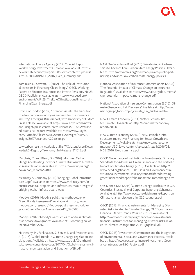International Energy Agency (2014) 'Special Report: World Energy Investment Outlook'. Available at: https:// newclimateeconomy.report/2016/wp-content/uploads/ sites/4/2016/08/NCE\_2016\_Exec\_summary.pdf

Kaminker, C., Stewart, F. (2012) 'The Role of Institutional Investors in Financing Clean Energy', OECD Working Papers on Finance, Insurance and Private Pensions, No.23, OECD Publishing. Available at: http://www.oecd.org/ environment/WP\_23\_TheRoleOfInstitutionalInvestorsIn-FinancingCleanEnergy.pdf

Lloyd's of London (2017) 'Stranded Assets: the transition to a low carbon economy—Overview for the insurance industry', Emerging Risks Report, with University of Oxford Press Release. Available at http://www.lloyds.com/newsand-insight/press-centre/press-releases/2017/02/stranded-assets Full report available at : http://www.lloyds. com/~/media/files/news%20and%20insight/risk%20 insight/2017/stranded%20assets.pdf

Low carbon registry. Available at file:///C:/Users/User/Downloads/LCI-Registry-Taxonomy\_3rd-Release\_211015.pdf

Marchais, M. and Blanc, D. (2016) 'Montréal Carbon Pledge Accelerating Investor Climate Disclosure', Novethic Research Paper. Available at: https://www.unpri.org/ download\_report/22480

McKinsey & Company (2016) 'Bridging Global Infrastructure Gaps'. Available at: https://www.mckinsey.com/industries/capital-projects-and-infrastructure/our-insights/ bridging-global-infrastructure-gaps

Moody's (2016) 'Moody's publishes methodology on Green Bonds Assessment'. Available at: https://www. moodys.com/research/Moodys-publishes-methodology-on-Green-Bonds-Assessment--PR\_346585.

Moody's (2017) 'Moody's warns cities to address climate risks or face downgrades'. Available at: Bloomberg News 29 November 2017.

Nachmany, M., Fankhauser, S., Setzer, J., and Averchenkova, A. (2017) 'Global Trends in Climate Change Legislation and Litigation'. Available at: http://www.lse.ac.uk/GranthamInstitute/wp-content/uploads/2017/04/Global-trends-in-climate-change-legislation-and-litigation-WEB.pdf

NASEO—Ceres Issue Brief (2016) 'Private-Public Partnerships to Advance Low-Carbon State Energy Policies'. Available at: http://www.ceres.org/roadmap/private-public-partnerships-advance-low-carbon-state-energy-policies

National Association of Insurance Commissioners (2008) 'The Potential Impact of Climate Change on Insurance Regulation'. Available at: http://www.naic.org/documents/ cipr\_potential\_impact\_climate\_change.pdf

National Association of Insurance Commissioners (2016) 'Climate Change and Risk Disclosure'. Available at: http://www. naic.org/cipr\_topics/topic\_climate\_risk\_disclosure.htm

New Climate Economy (2014) 'Better Growth, Better Climate'. Available at: http://newclimateeconomy. report/2014/

New Climate Economy (2016) 'The Sustainable Infrastructure Imperative: Financing for Better Growth and Development'. Available at: https://newclimateeconomy.report/2016/wp-content/uploads/sites/4/2016/08/ NCE\_2016\_Exec\_summary.pdf

OECD Governance of Institutional Investments: Fiduciary Standards for Addressing Green Finance and the Portfolio Impact of Climate Change (2015). Available at: http:// www.oecd.org/finance/COP21session-GovernanceofinstitutionalinvestmentsFiduciarystandardsforaddressinggreenfinanceandtheportfolioimpactofclimatechange.htm

OECD and CDSB (2015) 'Climate Change Disclosure in G20 Countries: Stocktaking of Corporate Reporting Schemes'. Available at: http://www.oecd.org/daf/inv/mne/Report-on-Climate-change-disclosure-in-G20-countries.pdf

OECD (2015) Financial Instruments for Managing Disaster Risks Related to Climate Change, OECD Journal on Financial Market Trends, Volume 2015/1. Available at: http://www.oecd-ilibrary.org/finance-and-investment/ financial-instruments-for-managing-disaster-risks-related-to-climate-change\_fmt-2015-5jrqdkpxk5d5

OECD (2017) 'Investment Governance and the Integration of Environmental, Social and Governance Factors'. Available at: http://www.oecd.org/finance/Investment-Governance-Integration-ESG-Factors.pdf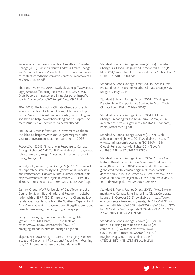Pan-Canadian Framework on Clean Growth and Climate Change (2016) 'Canada's Plan to Address Climate Change and Grow the Economy'. Available at: https://www.canada. ca/content/dam/themes/environment/documents/weather1/20170125-en.pdf

The Paris Agreement (2015). Available at http://www.oecd. org/g20/topics/financing-for-investment/G20-OECD-Draft-Report-on-Investment-Strategies.pdf or https://unfccc.int/resource/docs/2015/cop21/eng/l09r01.pdf

PRA (2015) 'The Impact of Climate Change on the UK Insurance Sector—A Climate Change Adaptation Report by the Prudential Regulation Authority', Bank of England. Available at: http://www.bankofengland.co.uk/pra/Documents/supervision/activities/pradefra0915.pdf

PRI (2015) 'Green Infrastructure Investment Coalition'. Available at: https://www.unpri.org/news/green-infrastructure-investment-coalition-launched-at-COP21

RobecoSAM (2015) 'Investing in Response to Climate Change: RobeccoSAM's Toolkit'. Available at: http://www. robecosam.com/images/Investing\_in\_response\_to\_climate\_change.pdf

Robert, G. E., Ioannis, I., and George S. (2016) 'The Impact of Corporate Sustainability on Organizational Processes and Performance', Harvard Business School. Available at: http://www.hbs.edu/faculty/Publication%20Files/SSRNid1964011\_6791edac-7daa-4603-a220-4a0c6c7a3f7a.pdf

Santam Group, WWF, University of Cape Town and the Council for Scientific and Industrial Research in collaboration with UNEP FI (2011) 'Insurance in a Changing Risk Landscape: Local lessons from the Southern Cape of South Africa'. Available at: http://www.unepfi.org/fileadmin/documents/insurance\_changing\_risk\_landscape.pdf

Seley, P. 'Emerging Trends in Climate Change Litigation', Law 360, March, 2016. Available at: https://www.law360.com/articles/766214/ emerging-trends-in-climate-change-litigation

Skipper, H. (1998) Foreign Insurers in Emerging Markets: Issues and Concerns, IIF Occasional Paper No. 1, Washington, DC: International Insurance Foundation (IIF).

Standard & Poor's Ratings Services (2014a) 'Climate Change Is A Global Mega-Trend For Sovereign Risk (15 May 2014)'. Available at: http://maalot.co.il/publications/ GMR20140518110900.pdf

Standard & Poor's Ratings Direct (2014b) 'Are Insurers Prepared for the Extreme Weather Climate Change May Bring? (19 May, 2014)'

Standard & Poor's Ratings Direct (2014c) 'Dealing with Disaster: How Companies are Starting to Assess Their Climate Event Risks (21 May 2014)'

Standard & Poor's Ratings Direct (2014d) 'Climate Change: Preparing for the Long-Term (22 May 2014)'. Available at: http://fsi.gov.au/files/2014/09/Standard\_ Poors\_Attachment\_J.pdf

Standard & Poor's Ratings Services (2014e) 'Global Reinsurance Highlights 2014'. Available at: https:// www.spratings.com/documents/20184/544129/ Global+Reinsurance+Highlights+2014/8d0a7dcb-3b36-48fe-ac57-a3486723286e

Standard & Poor's Ratings Direct (2015a) 'Storm Alert: Natural Disasters can Damage Sovereign Creditworthiness (10 September 2015)'. Available at: https://www. globalcreditportal.com/ratingsdirect/renderArticle. do?articleId=1449131&SctArtId=339895&from=CM&nsl\_ code=LIME&sourceObjectId=9327571&sourceRevId=1& fee\_ind=N&exp\_date=20250909-22:42:56

Standard & Poor's Ratings Direct (2015b) 'How Environmental And Climate Risks Factor Into Global Corporate Ratings (21 October 2015)'. Available at: https://www. environmental-finance.com/assets/files/How%20Environmental%20And%20Climate%20Risks%20Factor%20 Into%20Global%20Corporate%20Ratings%20Oct%20 21%202015%20%282%29.pdf

Standard & Poor's Ratings Services (2015c) 'Climate Risk: Rising Tides Raise the Stakes (December 2015)'. Available at: https://www. spratings.com/documents/20184/984172/ Insights+Magazine+-+December+2015/ cff352af-4f50-4f15-a765-f56dcd4ee5c8

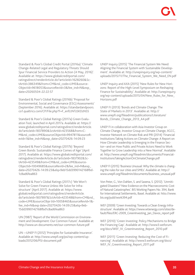Standard & Poor's Global Credit Portal (2016a) 'Climate Change-Related Legal and Regulatory Threats Should Spur Financial Service Providers to Action (4 May, 2016)'. Available at: https://www.globalcreditportal.com/ ratingsdirect/renderArticle.do?articleId=1628260&SctArtId=386349&from=CM&nsl\_code=LIME&source-ObjectId=9618053&sourceRevId=3&fee\_ind=N&exp\_ date=20260504-22:22:57

Standard & Poor's Global Ratings (2016b) 'Proposal for Environmental, Social and Governance (ESG) Assessments' (September 2016). Available at: https://standardandpoors. co1.qualtrics.com/CP/File.php?F=F\_enfLtNTzSKDzNS5

Standard & Poor's Global Ratings (2017a) Green Evaluation Tool, launched in April 2017a. Available at: https:// www.globalcreditportal.com/ratingsdirect/renderArticle. do?articleId=1837890&SctArtId=423568&from=C-M&nsl\_code=LIME&sourceObjectId=9947811&sourceRevId=1&fee\_ind=N&exp\_date=20270426-14:09:23

Standard & Poor's Global Ratings (2017b) 'Beyond Green Bonds: Sustainable Finance Comes of Age' (April 2017). Available at: https://www.globalcreditportal.com/ ratingsdirect/renderArticle.do?articleId=1837902&SctArtId=423549&from=CM&nsl\_code=LIME&source-ObjectId=10049685&sourceRevId=2&fee\_ind=N&exp\_ date=20270426-14:09:23&elq=9eb15dd3990142168fbd-1c8ad6fea863

Standard & Poor's Global Ratings (2017c) 'We Won't Solve for Green Finance Unless We Solve for Infrastructure' (April 2017). Available at: https://www. globalcreditportal.com/ratingsdirect/renderArticle. do?articleId=1837897&SctArtId=423548&from=CM&nsl\_ code=LIME&sourceObje tId=10058465&sourceRevId=1& fee\_ind=N&exp date=20270426-14:09:23&elq=9eb-15dd3990142168fbd1c8ad6fea863

UN (1987) 'Report of the World Commission on Environement and Development: Our Common Future'. Available at: http://www.un-documents.net/our-common-future.pdf

UN —UNEP FI (2012) 'Principles for Sustainable Insurance'. Available at: http://www.unepfi.org/psi/wp-content/uploads/2012/06/PSI-document.pdf

UNEP Inquiry (2015) 'The Financial System We Need: Aligning the Financial System with Sustainable Development'. Available at: http://unepinquiry.org/wp-content/ uploads/2015/11/The\_Financial\_System\_We\_Need\_EN.pdf

UNEP Inquiry and AXA (2015) 'New Rules for New Horizons: Report of the High-Level Symposium on Reshaping Finance for Sustainability'. Available at: http://unepinquiry. org/wp-content/uploads/2015/04/New\_Rules\_for\_New Horizons.pdf

UNEP FI (2013) 'Bonds and Climate Change: The State of Markets in 2013'. Available at: http:// www.unepfi.org/fileadmin/publications/Literature/ Bonds\_Climate\_Change\_2013\_A4.pdf

UNEP FI in collaboration with Asia Investor Group on Climate Change, Investor Group on Climate Change, IIGCC, Investor Network on Climate Risk and PRI (2014) 'Financial Institutions Taking Actions on Climate Change: A Report on How Climate Leadership is Emerging in the Finance Sector—and on How Public and Private Actors Need to Work Together to Grow Leadership into a New Normal'. Available at: http://www.unepfi.org/fileadmin/documents/Financial-InstitutionsTakingActionOnClimateChange.pdf

UNEP FI (2015) 'Business Unusual: Why the climate is changing the rules for our cities and SMEs'. Available at: http:// www.unepfi.org/fileadmin/documents/business\_unusual.pdf

Von Peter, G., Von Dahlen, S. and Saxena, S. (2012). 'Unmitigated Disasters? New Evidence on the Macroeconomic Cost of Natural Catastrophes'. BIS Working Papers No. 394, Bank for International Settlements, Basel. Available at: htto://www. bis.org/publ/work394.pdf

WEF (2009) 'Green Investing: Towards a Clean Energy Infrastructure'. Available at: https://www.wtienergy.com/sites/default/files/ERC-2009\_GreenInvesting\_Jan\_Davos\_report.pdf

WEF (2010) 'Green Investing: Policy Mechanisms to Bridge the Financing Gap'. Available at: http://www3.weforum. org/docs/WEF\_IV\_GreenInvesting\_Report\_2010.pdf

WEF (2011) 'Green Investing: Reducing the Cost of Financing'. Available at: http://www3.weforum.org/docs/ WEF\_IV\_GreenInvesting\_Report\_2011.pdf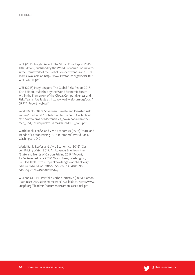WEF (2016) Insight Report 'The Global Risks Report 2016, 11th Edition', published by the World Economic Forum within the Framework of the Global Competitiveness and Risks Teams. Available at: http://www3.weforum.org/docs/GRR/ WEF\_GRR16.pdf

WEF (2017) Insight Report 'The Global Risks Report 2017, 12th Edition', published by the World Economic Forum within the Framework of the Global Competitiveness and Risks Teams. Available at: http://www3.weforum.org/docs/ GRR17\_Report\_web.pdf

World Bank (2017) 'Sovereign Climate and Disaster Risk Pooling', Technical Contribution to the G20. Available at: http://www.bmz.de/de/zentrales\_downloadarchiv/themen\_und\_schwerpunkte/klimaschutz/DFRI\_G20.pdf

World Bank, Ecofys and Vivid Economics (2016) 'State and Trends of Carbon Pricing 2016 (October)', World Bank, Washington, D.C.

World Bank, Ecofys and Vivid Economics (2016) 'Carbon Pricing Watch 2017: An Advance Brief from the "State and Trends of Carbon Pricing 2017" Report, To Be Released Late 2017', World Bank, Washington, D.C. Available: https://openknowledge.worldbank.org/ bitstream/handle/10986/26565/9781464811296. pdf?sequence=4&isAllowed=y

WRI and UNEP FI Portfolio Carbon Initiative (2015) 'Carbon Asset Risk: Discussion Framework'. Available at: http://www. unepfi.org/fileadmin/documents/carbon\_asset\_risk.pdf

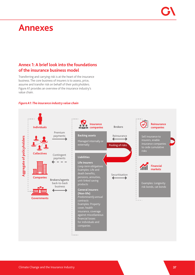# **Annexes**

# **Annex 1: A brief look into the foundations of the insurance business model**

Transferring and carrying risk is at the heart of the insurance business. The core business of insurers is to assess, price, assume and transfer risk on behalf of their policyholders. Figure A1 provides an overview of the insurance industry's value chain.

# *Figure A1: The insurance industry value chain*

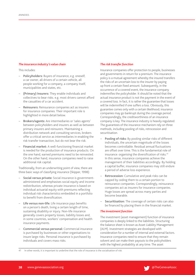# *The insurance industry's value chain*

This includes:

- − **Policyholders:** Buyers of insurance, e.g. oneself, a car owner, all drivers of a certain vehicle, all people working for a company, a company itself, municipalities and states, etc.
- − **(Primary) Insurers:** They enable individuals and collectives to bear risks. e.g. most drivers cannot afford the casualties of a car accident.
- − **Reinsurers:** Reinsurance companies act as insurers for insurance companies. Their important role is highlighted in more detail below.
- − **Brokers/agents:** Are intermediaries or 'sales agents' between policyholders and insurers as well as between primary insurers and reinsurers. Maintaining a distribution network and consulting services, brokers offer a critical service as intermediaries in enabling the risk transfer transaction, but do not bear the risk.
- − **Financial market:** A well-functioning financial market is needed for the production of insurance products. On the one hand, earned premiums need to be reinvested. On the other hand, insurance companies need to raise additional risk capital.

Traditionally, from an underwriting point of view, there are three basic ways of classifying insurance (Skipper, 1998):

- − **Social versus private:** Social insurance is governmentadministered and emphasises social equity and income redistribution, whereas private insurance is based on individual actuarial equity with premiums reflecting individual risk characteristics embedded in a portfolio to benefit from diversification.
- Life versus non-life: Life insurance pays benefits on a person's death, living a certain length of time, sustaining disability or injury. Non-life insurance generally covers property losses, liability losses and, in some countries, workers' compensation and health insurance payments.
- − **Commercial versus personal:** Commercial insurance is purchased by businesses or other organisations to insure large risks. Personal insurance is purchased by individuals and covers mass risks.

# *The risk transfer function*

Insurance companies offer protection to people, businesses and governments in return for a premium. The insurance policy is a mutual agreement whereby the insured transfers the risks of an uncertain loss to the insurer by paying up front a certain fixed amount. Subsequently, in the occurrence of a covered event, the insurance company indemnifies the policyholder. It should be noted that the actual insurance product is not the payment in the event of a covered loss. In fact, it is rather the guarantee that losses will be indemnified if one suffers a loss. Obviously, this guarantee comes only with a certain likelihood; insurance companies may go bankrupt during the coverage period. Correspondingly, the creditworthiness of an insurance company is key. The insurance industry is heavily regulated. The guarantees of the insurance mechanism rely on three methods, including pooling of risks, retrocession and securitisation.

- Pooling of risks: By pooling similar risks of different individuals, the uncertain magnitude of the losses becomes controllable. Residual annual fluctuations are offset over time. This is the fundamental role of insurance: organising the diversification of risks.<sup>41</sup> In this sense, insurance companies achieve the management of their liabilities accordingly. By holding a capital buffer, insurance companies may still endure a period of adverse loss experience.
- − **Retrocession:** Cumulative and peak risks can be capped by ceding them to a certain portion to reinsurance companies. Correspondingly, reinsurance companies act as insurers for insurance companies. Huge losses are spread across many parties and become bearable.
- **Securitisation:** The coverage of certain risks can also be financed by placing them in the financial market.

# *The investment function*

The investment (asset management) function of insurance companies is deeply linked to the liabilities. Structuring the balance sheet is known as Asset Liability Management (ALM). Investment strategies are developed with consideration for a number of internal and external factors. Insurance companies need to ensure that they remain solvent and can make their payouts to the policyholders with the highest probability at any time. The asset

41 In other words, it is important to underline that the role of insurance is the socialisation of risk.

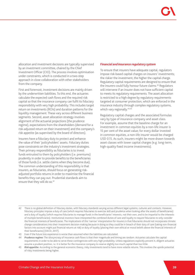allocation and investment decisions are typically supervised by an investment committee, chaired by the Chief Investment Officer (CIO). The process involves optimisation under constraints, which is conducted in a two-step approach in close collaboration with other stakeholders from the company.

First and foremost, investment decisions are mainly driven by the underwritten liabilities. To this end, the actuaries calculate the expected cash flows and the required risk capital so that the insurance company can fulfil its fiduciary responsibility with very high probability. This includes target return on investments (ROIs) and duration patterns for the liquidity management. These vary across different business segments. Second, asset allocation strategy involves alignment of the actuarial projections (the prudence regime), expectations from the shareholders (demand for a risk-adjusted return on their investment) and the company's risk appetite (as supervised by the board of directors).

Insurers have a fiduciary duty to protect and enhance the value of their 'policyholders' assets. Fiduciary duties pose constraints on the industry's investment strategies. Their primary responsibility as fiduciaries is to invest funds entrusted to them by policyholders (i.e. premiums) prudently in order to provide benefits to the beneficiaries of those funds (i.e. settle claims when they become due). The common understanding of this responsibility is that insurers, as fiduciaries, should focus on generating riskadjusted portfolio returns in order to maximise the financial benefits they can pay out. Prudential standards aim to ensure that they will do so.<sup>42</sup>

### *Financial and insurance regulatory system*

To ensure that insurers have adequate capital, regulators impose risk-based capital charges on insurers' investments; the riskier the investment, the higher the capital charge. Regulatory capital requirements are designed to ensure that the insurers could fully honour future claims.<sup>43</sup> Regulators will intervene if an insurer does not have sufficient capital to meets its regulatory requirements. The asset allocation is restricted to a high degree by regulatory requirements targeted at consumer protection, which are enforced in the insurance industry through complex regulatory systems, which vary regionally.<sup>44,45</sup>

Regulatory capital charges and the associated formulas vary by type of insurance company and asset class. For example, assume that the baseline charge for an investment in common equities by a non-life insurer is 15 per cent of the asset value; for every dollar invested in common equities, a non-life insurer would be charged USD 0.15. As such, insurers might be more drawn towards asset classes with lower capital charges (e.g. long-term, high-quality fixed income investments).

- 42 There is no global definition of fiduciary duties, with fiduciary standards varying across different legal systems, cultures and contexts. However, fiduciary principles impose a duty of care (which requires fiduciaries to exercise skill and prudence when looking after the assets of beneficiaries) and a duty of loyalty (which requires fiduciaries to manage funds in the beneficiaries' interests, not their own, and to be impartial to the interests of multiple beneficiaries). Institutional investors have interpreted the combined duties of care and loyalty to require fiduciaries to only consider the financial interests of beneficiaries. The implications of this 'narrow' interpretation for insurers is that fiduciaries should not incorporate climate change considerations into their investment decision-making because in doing so they could be in breach of their duty of care (taking non-financial factors into account might put financial returns at risk) or duty of loyalty (placing their own ethical or moral beliefs above the financial interests of their beneficiaries) (OECD, 2017).
- 43 Even if the future loss experience is worse than assumed when the liabilities are calculated.
- 44 *Prudence regime:* The idiosyncrasy of insurance cash flows is that their magnitude and timing are random. Actuaries calculate the capital requirements in order to be able to serve these contingencies with very high probability. Unless regulations explicitly prevent it, diligent actuaries assume a prudent position, i.e. it is better for the insurance company to reserve slightly too much capital than too little.
- 45 *Risk appetite:* According to the general economic theory, risky investments tend to have more volatile returns. This involves the upside potential of risky investments being higher.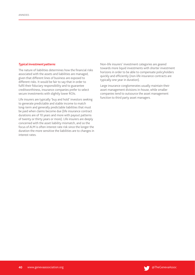# *Typical investment patterns*

The nature of liabilities determines how the financial risks associated with the assets and liabilities are managed, given that different lines of business are exposed to different risks. It would be fair to say that in order to fulfil their fiduciary responsibility and to guarantee creditworthiness, insurance companies prefer to select secure investments with slightly lower ROIs.

Life insurers are typically 'buy and hold' investors seeking to generate predictable and stable income to match long-term and generally predictable liabilities that must be paid when claims become due (life insurance contract durations are of 10 years and more with payout patterns of twenty or thirty years or more). Life insurers are deeply concerned with the asset liability mismatch, and so the focus of ALM is often interest rate risk since the longer the duration the more sensitive the liabilities are to changes in interest rates.

Non-life insurers' investment categories are geared towards more liquid investments with shorter investment horizons in order to be able to compensate policyholders quickly and efficiently (non-life insurance contracts are typically one year in duration).

Large insurance conglomerates usually maintain their asset management divisions in-house, while smaller companies tend to outsource the asset management function to third party asset managers.

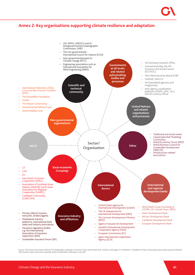# **Annex 2: Key organisations supporting climate resilience and adaptation**



Source: The Geneva Association (2017a) 'The Stakeholder Landscape in Extreme Events and Climate Risk'. Authors: Golnaraghi, M. and Khalil, P. Available at: https://www.genevaassociation.org/sites/default/<br>files/research-to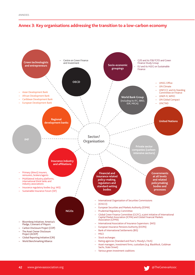

# **Annex 3: Key organisations addressing the transition to a low-carbon economy**